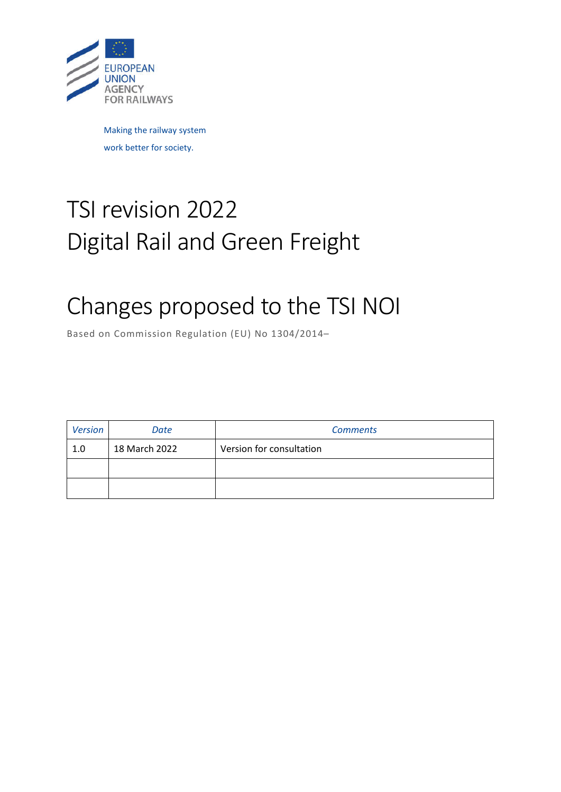

Making the railway system work better for society.

# TSI revision 2022 Digital Rail and Green Freight

# Changes proposed to the TSI NOI

Based on Commission Regulation (EU) No 1304/2014–

| <b>Version</b> | Date          | <b>Comments</b>          |
|----------------|---------------|--------------------------|
| 1.0            | 18 March 2022 | Version for consultation |
|                |               |                          |
|                |               |                          |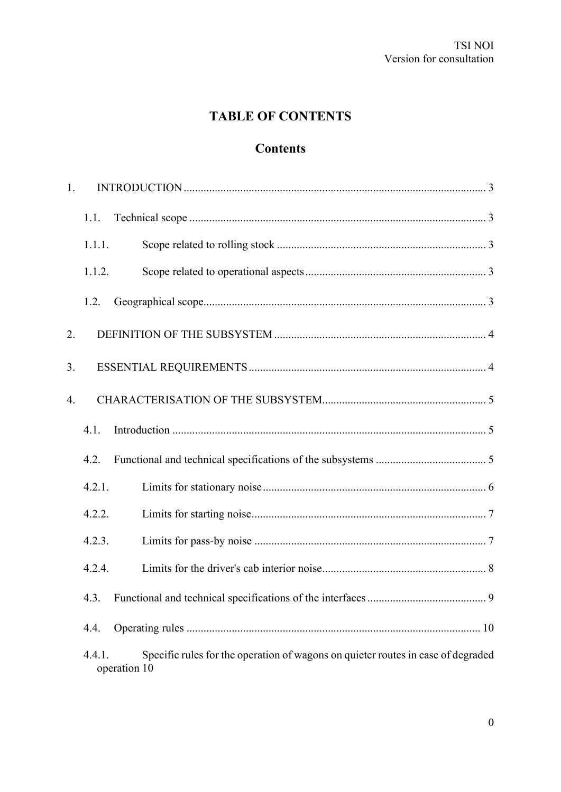# **TABLE OF CONTENTS**

# **Contents**

| 1. |                        |                                                                                  |
|----|------------------------|----------------------------------------------------------------------------------|
|    | 1.1.                   |                                                                                  |
|    | 1.1.1.                 |                                                                                  |
|    | 1.1.2.                 |                                                                                  |
|    | 1.2.                   |                                                                                  |
| 2. |                        |                                                                                  |
| 3. |                        |                                                                                  |
| 4. |                        |                                                                                  |
|    | 4.1.                   |                                                                                  |
|    | 4.2.                   |                                                                                  |
|    | 4.2.1.                 |                                                                                  |
|    | 4.2.2.                 |                                                                                  |
|    | 4.2.3.                 |                                                                                  |
|    | 4.2.4.                 |                                                                                  |
|    | 4.3.                   |                                                                                  |
|    | 4.4.                   |                                                                                  |
|    | 4.4.1.<br>operation 10 | Specific rules for the operation of wagons on quieter routes in case of degraded |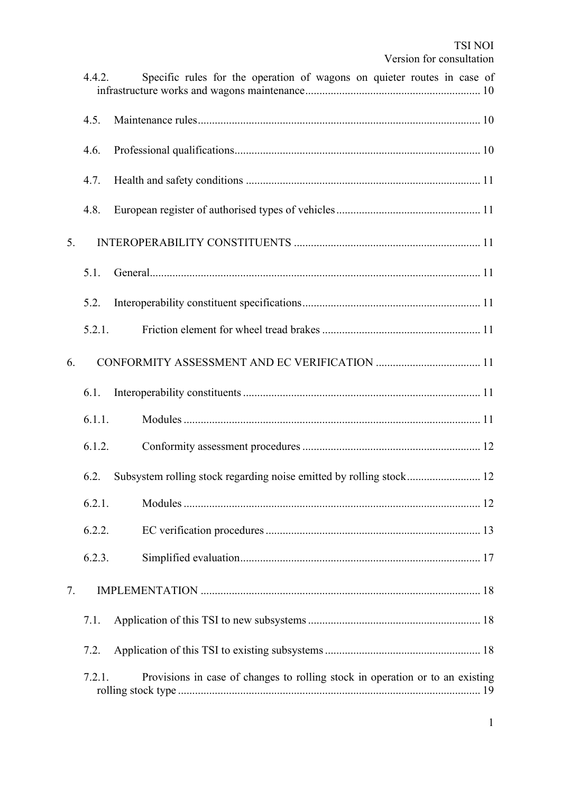|    | 4.4.2. | Specific rules for the operation of wagons on quieter routes in case of       |
|----|--------|-------------------------------------------------------------------------------|
|    | 4.5.   |                                                                               |
|    | 4.6.   |                                                                               |
|    | 4.7.   |                                                                               |
|    | 4.8.   |                                                                               |
| 5. |        |                                                                               |
|    | 5.1.   |                                                                               |
|    | 5.2.   |                                                                               |
|    | 5.2.1. |                                                                               |
| 6. |        |                                                                               |
|    | 6.1.   |                                                                               |
|    | 6.1.1. |                                                                               |
|    | 6.1.2. |                                                                               |
|    | 6.2.   |                                                                               |
|    | 6.2.1. |                                                                               |
|    | 6.2.2. |                                                                               |
|    | 6.2.3. |                                                                               |
| 7. |        |                                                                               |
|    | 7.1.   |                                                                               |
|    | 7.2.   |                                                                               |
|    | 7.2.1. | Provisions in case of changes to rolling stock in operation or to an existing |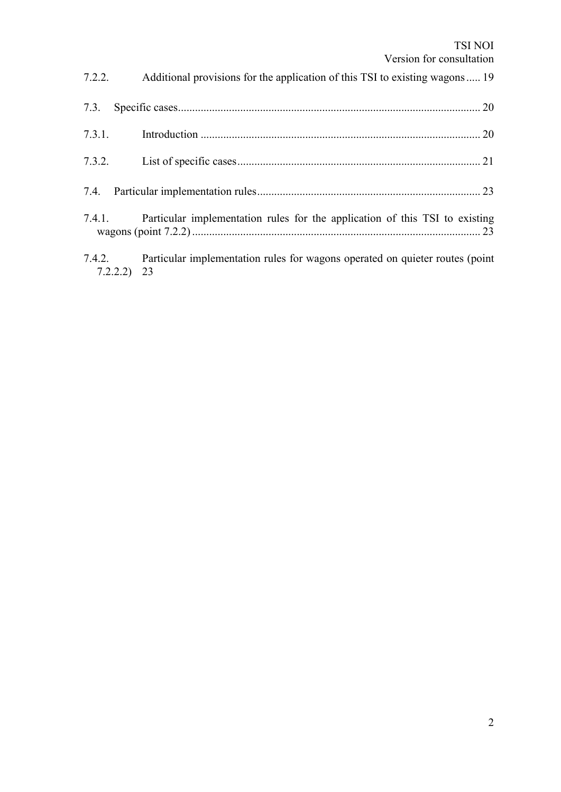|        | <b>TSI NOI</b><br>Version for consultation                                   |
|--------|------------------------------------------------------------------------------|
| 7.2.2. | Additional provisions for the application of this TSI to existing wagons 19  |
| 7.3.   |                                                                              |
| 7.3.1. |                                                                              |
| 7.3.2. |                                                                              |
|        |                                                                              |
| 7.4.1. | Particular implementation rules for the application of this TSI to existing  |
| 7.4.2. | Particular implementation rules for wagons operated on quieter routes (point |

7.2.2.2) 23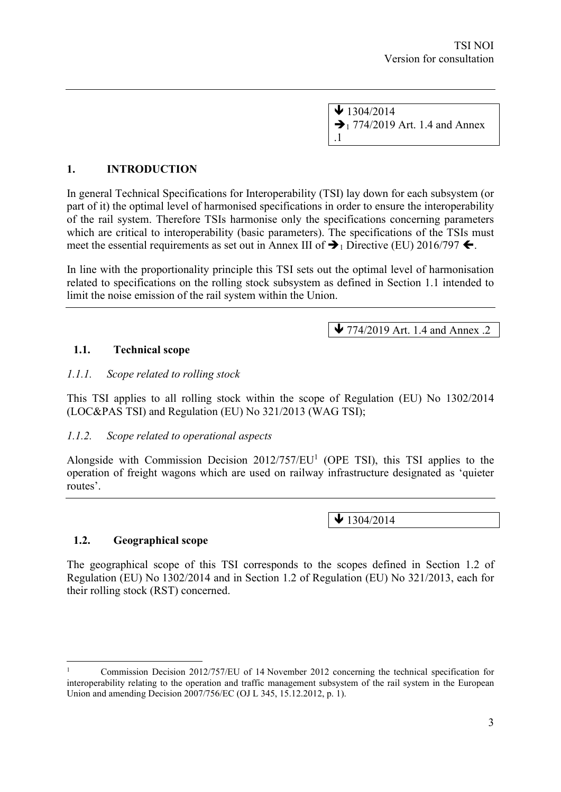$\sqrt{1304/2014}$  $\rightarrow$  1 774/2019 Art. 1.4 and Annex .1

#### **1. INTRODUCTION**

In general Technical Specifications for Interoperability (TSI) lay down for each subsystem (or part of it) the optimal level of harmonised specifications in order to ensure the interoperability of the rail system. Therefore TSIs harmonise only the specifications concerning parameters which are critical to interoperability (basic parameters). The specifications of the TSIs must meet the essential requirements as set out in Annex III of  $\rightarrow$  1 Directive (EU) 2016/797  $\leftarrow$ .

In line with the proportionality principle this TSI sets out the optimal level of harmonisation related to specifications on the rolling stock subsystem as defined in Section 1.1 intended to limit the noise emission of the rail system within the Union.

 $\blacktriangleright$  774/2019 Art. 1.4 and Annex .2

#### **1.1. Technical scope**

#### *1.1.1. Scope related to rolling stock*

This TSI applies to all rolling stock within the scope of Regulation (EU) No 1302/2014 (LOC&PAS TSI) and Regulation (EU) No 321/2013 (WAG TSI);

#### *1.1.2. Scope related to operational aspects*

Alongside with Commission Decision  $2012/757/EU<sup>1</sup>$  (OPE TSI), this TSI applies to the operation of freight wagons which are used on railway infrastructure designated as 'quieter routes'.

 $\bigvee$  1304/2014

#### **1.2. Geographical scope**

The geographical scope of this TSI corresponds to the scopes defined in Section 1.2 of Regulation (EU) No 1302/2014 and in Section 1.2 of Regulation (EU) No 321/2013, each for their rolling stock (RST) concerned.

<sup>1</sup> Commission Decision 2012/757/EU of 14 November 2012 concerning the technical specification for interoperability relating to the operation and traffic management subsystem of the rail system in the European Union and amending Decision 2007/756/EC (OJ L 345, 15.12.2012, p. 1).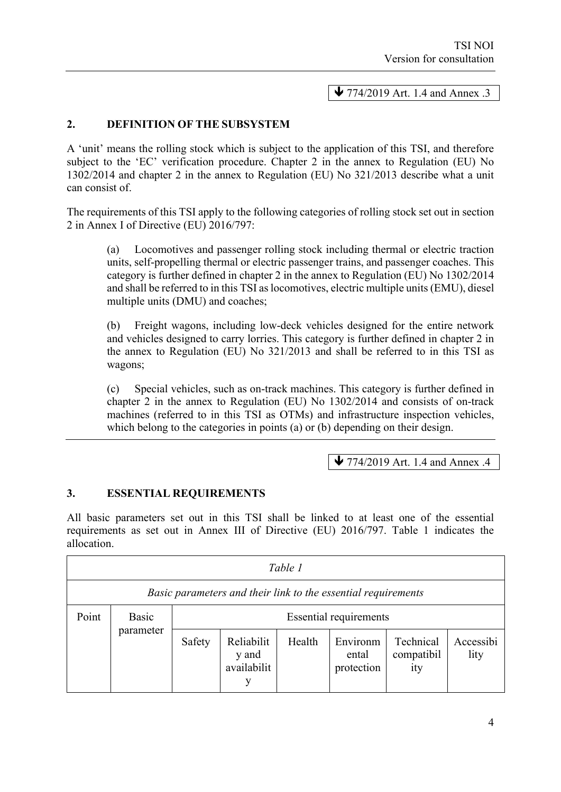$\blacktriangleright$  774/2019 Art. 1.4 and Annex .3

#### **2. DEFINITION OF THE SUBSYSTEM**

A 'unit' means the rolling stock which is subject to the application of this TSI, and therefore subject to the 'EC' verification procedure. Chapter 2 in the annex to Regulation (EU) No 1302/2014 and chapter 2 in the annex to Regulation (EU) No 321/2013 describe what a unit can consist of.

The requirements of this TSI apply to the following categories of rolling stock set out in section 2 in Annex I of Directive (EU) 2016/797:

(a) Locomotives and passenger rolling stock including thermal or electric traction units, self-propelling thermal or electric passenger trains, and passenger coaches. This category is further defined in chapter 2 in the annex to Regulation (EU) No 1302/2014 and shall be referred to in this TSI as locomotives, electric multiple units (EMU), diesel multiple units (DMU) and coaches;

(b) Freight wagons, including low-deck vehicles designed for the entire network and vehicles designed to carry lorries. This category is further defined in chapter 2 in the annex to Regulation (EU) No 321/2013 and shall be referred to in this TSI as wagons;

(c) Special vehicles, such as on-track machines. This category is further defined in chapter 2 in the annex to Regulation (EU) No 1302/2014 and consists of on-track machines (referred to in this TSI as OTMs) and infrastructure inspection vehicles, which belong to the categories in points (a) or (b) depending on their design.

 $\blacktriangleright$  774/2019 Art. 1.4 and Annex .4

#### **3. ESSENTIAL REQUIREMENTS**

All basic parameters set out in this TSI shall be linked to at least one of the essential requirements as set out in Annex III of Directive (EU) 2016/797. Table 1 indicates the allocation.

| Table 1 |                                                               |                               |                                         |        |                                 |                                |                   |
|---------|---------------------------------------------------------------|-------------------------------|-----------------------------------------|--------|---------------------------------|--------------------------------|-------------------|
|         | Basic parameters and their link to the essential requirements |                               |                                         |        |                                 |                                |                   |
| Point   | Basic                                                         | <b>Essential requirements</b> |                                         |        |                                 |                                |                   |
|         | parameter                                                     | Safety                        | Reliabilit<br>y and<br>availabilit<br>v | Health | Environm<br>ental<br>protection | Technical<br>compatibil<br>ity | Accessibi<br>lity |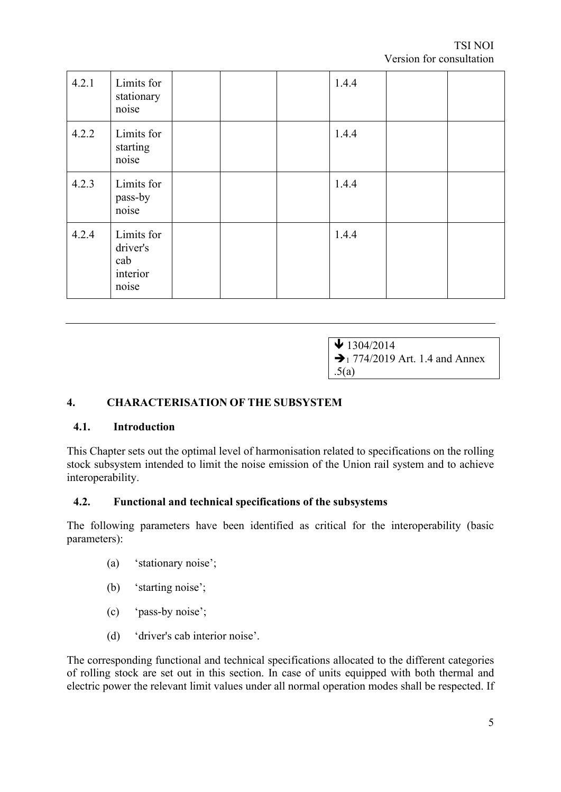| 4.2.1 | Limits for<br>stationary<br>noise                  |  | 1.4.4 |  |
|-------|----------------------------------------------------|--|-------|--|
| 4.2.2 | Limits for<br>starting<br>noise                    |  | 1.4.4 |  |
| 4.2.3 | Limits for<br>pass-by<br>noise                     |  | 1.4.4 |  |
| 4.2.4 | Limits for<br>driver's<br>cab<br>interior<br>noise |  | 1.4.4 |  |

 $\bigvee$  1304/2014  $\rightarrow$  1 774/2019 Art. 1.4 and Annex .5(a)

#### **4. CHARACTERISATION OF THE SUBSYSTEM**

#### **4.1. Introduction**

This Chapter sets out the optimal level of harmonisation related to specifications on the rolling stock subsystem intended to limit the noise emission of the Union rail system and to achieve interoperability.

#### **4.2. Functional and technical specifications of the subsystems**

The following parameters have been identified as critical for the interoperability (basic parameters):

- (a) 'stationary noise';
- (b) 'starting noise';
- (c) 'pass-by noise';
- (d) 'driver's cab interior noise'.

The corresponding functional and technical specifications allocated to the different categories of rolling stock are set out in this section. In case of units equipped with both thermal and electric power the relevant limit values under all normal operation modes shall be respected. If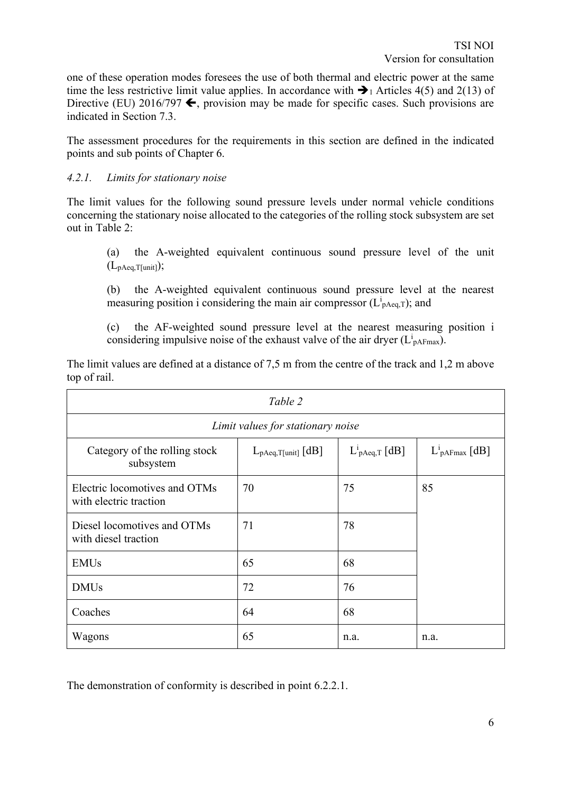one of these operation modes foresees the use of both thermal and electric power at the same time the less restrictive limit value applies. In accordance with  $\rightarrow$  Articles 4(5) and 2(13) of Directive (EU) 2016/797  $\blacktriangle$ , provision may be made for specific cases. Such provisions are indicated in Section 7.3.

The assessment procedures for the requirements in this section are defined in the indicated points and sub points of Chapter 6.

#### *4.2.1. Limits for stationary noise*

The limit values for the following sound pressure levels under normal vehicle conditions concerning the stationary noise allocated to the categories of the rolling stock subsystem are set out in Table 2:

(a) the A-weighted equivalent continuous sound pressure level of the unit (LpAeq,T[unit]);

(b) the A-weighted equivalent continuous sound pressure level at the nearest measuring position i considering the main air compressor ( $L^{i}$ <sub>pAeq,T</sub>); and

(c) the AF-weighted sound pressure level at the nearest measuring position i considering impulsive noise of the exhaust valve of the air dryer  $(L<sup>i</sup><sub>pAFmax</sub>)$ .

| Table 2                                                 |                                   |                              |                            |
|---------------------------------------------------------|-----------------------------------|------------------------------|----------------------------|
|                                                         | Limit values for stationary noise |                              |                            |
| Category of the rolling stock<br>subsystem              | $L_{pAeq,T[unit]}$ [dB]           | $L^1$ <sub>pAeq,T</sub> [dB] | $L^1_{\text{pAFmax}}$ [dB] |
| Electric locomotives and OTMs<br>with electric traction | 70                                | 75                           | 85                         |
| Diesel locomotives and OTMs<br>with diesel traction     | 71                                | 78                           |                            |
| <b>EMUs</b>                                             | 65                                | 68                           |                            |
| <b>DMUs</b>                                             | 72                                | 76                           |                            |
| Coaches                                                 | 64                                | 68                           |                            |
| Wagons                                                  | 65                                | n.a.                         | n.a.                       |

The limit values are defined at a distance of 7,5 m from the centre of the track and 1,2 m above top of rail.

The demonstration of conformity is described in point 6.2.2.1.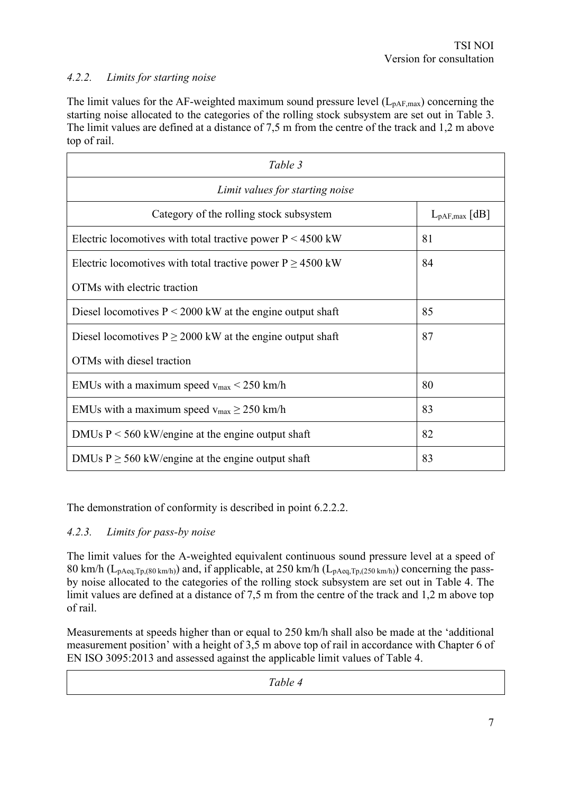#### *4.2.2. Limits for starting noise*

The limit values for the AF-weighted maximum sound pressure level  $(L_{pAF,max})$  concerning the starting noise allocated to the categories of the rolling stock subsystem are set out in Table 3. The limit values are defined at a distance of 7,5 m from the centre of the track and 1,2 m above top of rail.

| Table 3                                                             |                           |  |
|---------------------------------------------------------------------|---------------------------|--|
| Limit values for starting noise                                     |                           |  |
| Category of the rolling stock subsystem                             | $L_{\text{pAF,max}}$ [dB] |  |
| Electric locomotives with total tractive power $P < 4500$ kW        | 81                        |  |
| Electric locomotives with total tractive power $P \ge 4500$ kW      | 84                        |  |
| OTMs with electric traction                                         |                           |  |
| 85<br>Diesel locomotives $P \le 2000$ kW at the engine output shaft |                           |  |
| 87<br>Diesel locomotives $P \ge 2000$ kW at the engine output shaft |                           |  |
| OTMs with diesel traction                                           |                           |  |
| EMUs with a maximum speed $v_{max}$ < 250 km/h<br>80                |                           |  |
| EMUs with a maximum speed $v_{max} \ge 250$ km/h<br>83              |                           |  |
| 82<br>DMUs $P < 560$ kW/engine at the engine output shaft           |                           |  |
| 83<br>DMUs $P \ge 560$ kW/engine at the engine output shaft         |                           |  |

The demonstration of conformity is described in point 6.2.2.2.

#### *4.2.3. Limits for pass-by noise*

The limit values for the A-weighted equivalent continuous sound pressure level at a speed of 80 km/h ( $L_{\text{pAea,Tp,(80 km/h)}}$ ) and, if applicable, at 250 km/h ( $L_{\text{pAea,Tp,(250 km/h)}}$ ) concerning the passby noise allocated to the categories of the rolling stock subsystem are set out in Table 4. The limit values are defined at a distance of 7.5 m from the centre of the track and 1.2 m above top of rail.

Measurements at speeds higher than or equal to 250 km/h shall also be made at the 'additional measurement position' with a height of 3,5 m above top of rail in accordance with Chapter 6 of EN ISO 3095:2013 and assessed against the applicable limit values of Table 4.

*Table 4*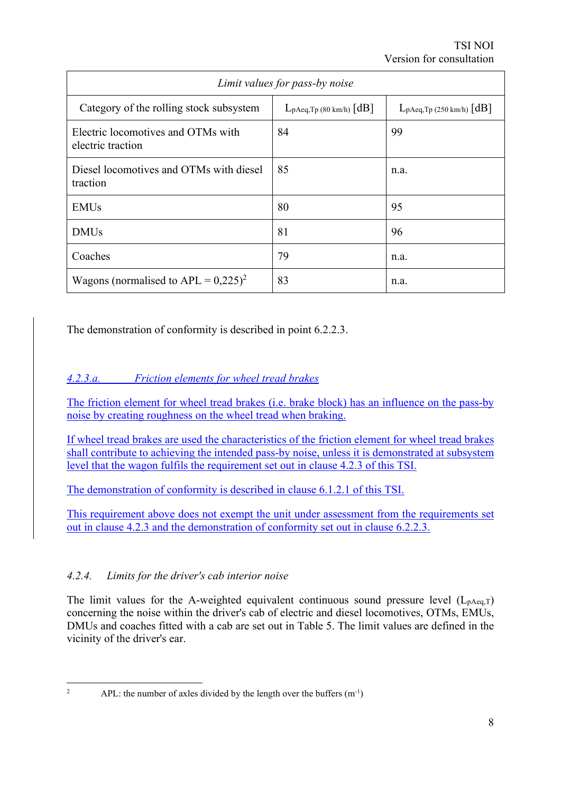| Limit values for pass-by noise                          |                                |                               |  |
|---------------------------------------------------------|--------------------------------|-------------------------------|--|
| Category of the rolling stock subsystem                 | $L_{pAeq,Tp}$ (80 km/h) $[dB]$ | $L_{pAeq,Tp}$ (250 km/h) [dB] |  |
| Electric locomotives and OTMs with<br>electric traction | 84                             | 99                            |  |
| Diesel locomotives and OTMs with diesel<br>traction     | 85                             | n.a.                          |  |
| <b>EMU<sub>s</sub></b>                                  | 80                             | 95                            |  |
| <b>DMUs</b>                                             | 81                             | 96                            |  |
| Coaches                                                 | 79                             | n.a.                          |  |
| Wagons (normalised to APL = $0,225)^2$                  | 83                             | n.a.                          |  |

The demonstration of conformity is described in point 6.2.2.3.

### *4.2.3.a. Friction elements for wheel tread brakes*

The friction element for wheel tread brakes (i.e. brake block) has an influence on the pass-by noise by creating roughness on the wheel tread when braking.

If wheel tread brakes are used the characteristics of the friction element for wheel tread brakes shall contribute to achieving the intended pass-by noise, unless it is demonstrated at subsystem level that the wagon fulfils the requirement set out in clause 4.2.3 of this TSI.

The demonstration of conformity is described in clause 6.1.2.1 of this TSI.

This requirement above does not exempt the unit under assessment from the requirements set out in clause 4.2.3 and the demonstration of conformity set out in clause 6.2.2.3.

### *4.2.4. Limits for the driver's cab interior noise*

The limit values for the A-weighted equivalent continuous sound pressure level  $(L_{pAeq,T})$ concerning the noise within the driver's cab of electric and diesel locomotives, OTMs, EMUs, DMUs and coaches fitted with a cab are set out in Table 5. The limit values are defined in the vicinity of the driver's ear.

<sup>&</sup>lt;sup>2</sup> APL: the number of axles divided by the length over the buffers  $(m^{-1})$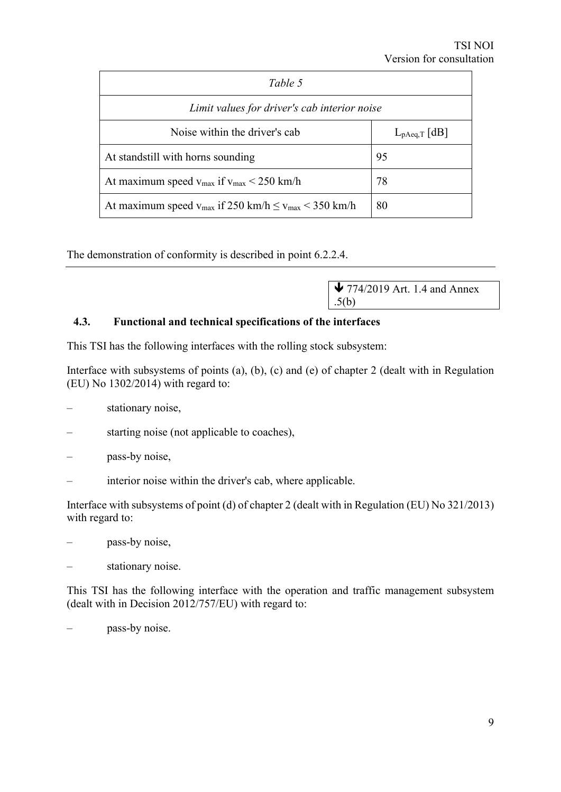| Table 5                                                          |                   |  |  |
|------------------------------------------------------------------|-------------------|--|--|
| Limit values for driver's cab interior noise                     |                   |  |  |
| Noise within the driver's cab                                    | $L_{pAeq,T}$   dB |  |  |
| At standstill with horns sounding                                | 95                |  |  |
| At maximum speed $v_{\text{max}}$ if $v_{\text{max}}$ < 250 km/h | 78                |  |  |
| At maximum speed $v_{max}$ if 250 km/h $\le v_{max}$ < 350 km/h  | 80                |  |  |

The demonstration of conformity is described in point 6.2.2.4.

 $\blacktriangleright$  774/2019 Art. 1.4 and Annex .5(b)

#### **4.3. Functional and technical specifications of the interfaces**

This TSI has the following interfaces with the rolling stock subsystem:

Interface with subsystems of points (a), (b), (c) and (e) of chapter 2 (dealt with in Regulation (EU) No 1302/2014) with regard to:

- stationary noise,
- starting noise (not applicable to coaches),
- pass-by noise,
- interior noise within the driver's cab, where applicable.

Interface with subsystems of point (d) of chapter 2 (dealt with in Regulation (EU) No 321/2013) with regard to:

- pass-by noise,
- stationary noise.

This TSI has the following interface with the operation and traffic management subsystem (dealt with in Decision 2012/757/EU) with regard to:

pass-by noise.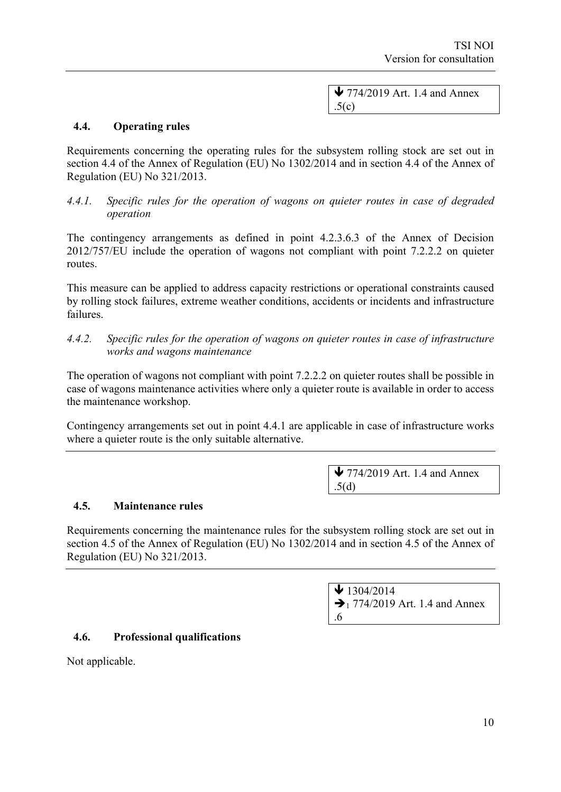$\blacktriangleright$  774/2019 Art. 1.4 and Annex  $.5(c)$ 

#### **4.4. Operating rules**

Requirements concerning the operating rules for the subsystem rolling stock are set out in section 4.4 of the Annex of Regulation (EU) No 1302/2014 and in section 4.4 of the Annex of Regulation (EU) No 321/2013.

*4.4.1. Specific rules for the operation of wagons on quieter routes in case of degraded operation*

The contingency arrangements as defined in point 4.2.3.6.3 of the Annex of Decision 2012/757/EU include the operation of wagons not compliant with point 7.2.2.2 on quieter routes.

This measure can be applied to address capacity restrictions or operational constraints caused by rolling stock failures, extreme weather conditions, accidents or incidents and infrastructure failures.

*4.4.2. Specific rules for the operation of wagons on quieter routes in case of infrastructure works and wagons maintenance*

The operation of wagons not compliant with point 7.2.2.2 on quieter routes shall be possible in case of wagons maintenance activities where only a quieter route is available in order to access the maintenance workshop.

Contingency arrangements set out in point 4.4.1 are applicable in case of infrastructure works where a quieter route is the only suitable alternative.

> $\blacktriangleright$  774/2019 Art. 1.4 and Annex .5(d)

#### **4.5. Maintenance rules**

Requirements concerning the maintenance rules for the subsystem rolling stock are set out in section 4.5 of the Annex of Regulation (EU) No 1302/2014 and in section 4.5 of the Annex of Regulation (EU) No 321/2013.

> $\bigvee$  1304/2014  $\rightarrow$  1 774/2019 Art. 1.4 and Annex .6

#### **4.6. Professional qualifications**

Not applicable.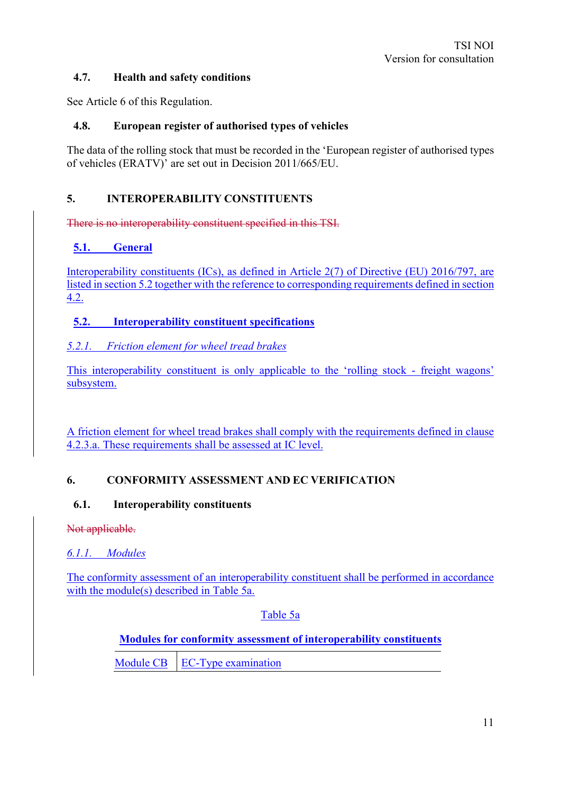#### **4.7. Health and safety conditions**

See Article 6 of this Regulation.

#### **4.8. European register of authorised types of vehicles**

The data of the rolling stock that must be recorded in the 'European register of authorised types of vehicles (ERATV)' are set out in Decision 2011/665/EU.

#### **5. INTEROPERABILITY CONSTITUENTS**

There is no interoperability constituent specified in this TSI.

#### **5.1. General**

Interoperability constituents (ICs), as defined in Article 2(7) of Directive (EU) 2016/797, are listed in section 5.2 together with the reference to corresponding requirements defined in section  $4.2.$ 

#### **5.2. Interoperability constituent specifications**

#### *5.2.1. Friction element for wheel tread brakes*

This interoperability constituent is only applicable to the 'rolling stock - freight wagons' subsystem.

A friction element for wheel tread brakes shall comply with the requirements defined in clause 4.2.3.a. These requirements shall be assessed at IC level.

#### **6. CONFORMITY ASSESSMENT AND EC VERIFICATION**

#### **6.1. Interoperability constituents**

Not applicable.

*6.1.1. Modules*

The conformity assessment of an interoperability constituent shall be performed in accordance with the module(s) described in Table 5a.

Table 5a

**Modules for conformity assessment of interoperability constituents**

Module CB EC-Type examination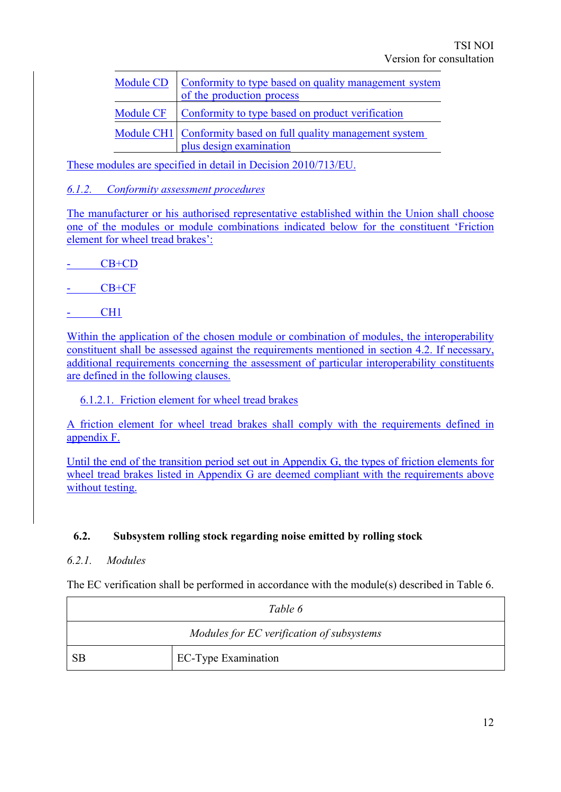| <b>Module CD</b> | Conformity to type based on quality management system<br>of the production process       |
|------------------|------------------------------------------------------------------------------------------|
| Module CF        | Conformity to type based on product verification                                         |
|                  | Module CH1 Conformity based on full quality management system<br>plus design examination |

These modules are specified in detail in Decision 2010/713/EU.

#### *6.1.2. Conformity assessment procedures*

The manufacturer or his authorised representative established within the Union shall choose one of the modules or module combinations indicated below for the constituent 'Friction element for wheel tread brakes':

 $CB+CD$ 

CB+CF

- CH1

Within the application of the chosen module or combination of modules, the interoperability constituent shall be assessed against the requirements mentioned in section 4.2. If necessary, additional requirements concerning the assessment of particular interoperability constituents are defined in the following clauses.

#### 6.1.2.1. Friction element for wheel tread brakes

A friction element for wheel tread brakes shall comply with the requirements defined in appendix F.

Until the end of the transition period set out in Appendix G, the types of friction elements for wheel tread brakes listed in Appendix G are deemed compliant with the requirements above without testing.

#### **6.2. Subsystem rolling stock regarding noise emitted by rolling stock**

#### *6.2.1. Modules*

The EC verification shall be performed in accordance with the module(s) described in Table 6.

| Table 6   |                                           |  |
|-----------|-------------------------------------------|--|
|           | Modules for EC verification of subsystems |  |
| <b>SB</b> | <b>EC-Type Examination</b>                |  |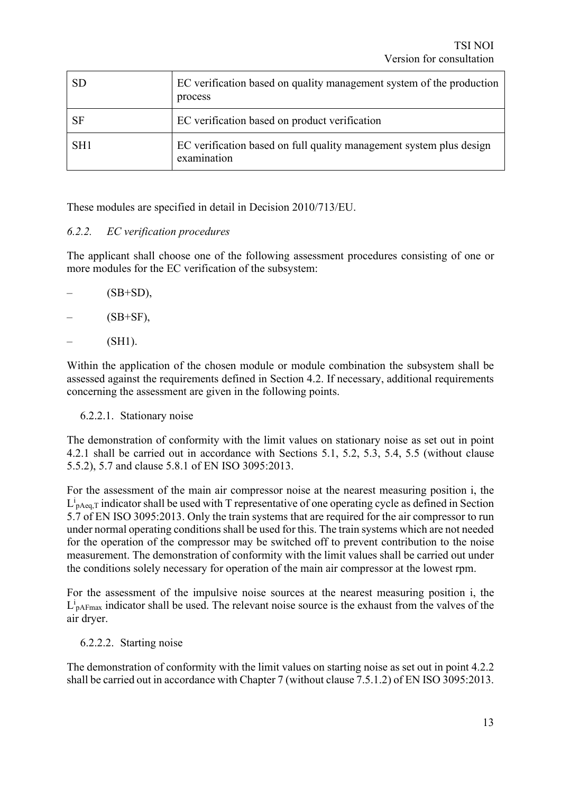| <b>SD</b>       | EC verification based on quality management system of the production<br>process    |
|-----------------|------------------------------------------------------------------------------------|
| <b>SF</b>       | EC verification based on product verification                                      |
| SH <sub>1</sub> | EC verification based on full quality management system plus design<br>examination |

These modules are specified in detail in Decision 2010/713/EU.

#### *6.2.2. EC verification procedures*

The applicant shall choose one of the following assessment procedures consisting of one or more modules for the EC verification of the subsystem:

 $(SB+SD)$ ,

 $(SB+SF)$ ,

 $(SH1)$ .

Within the application of the chosen module or module combination the subsystem shall be assessed against the requirements defined in Section 4.2. If necessary, additional requirements concerning the assessment are given in the following points.

#### 6.2.2.1. Stationary noise

The demonstration of conformity with the limit values on stationary noise as set out in point 4.2.1 shall be carried out in accordance with Sections 5.1, 5.2, 5.3, 5.4, 5.5 (without clause 5.5.2), 5.7 and clause 5.8.1 of EN ISO 3095:2013.

For the assessment of the main air compressor noise at the nearest measuring position i, the  $L_{\text{pAeq},T}^i$  indicator shall be used with T representative of one operating cycle as defined in Section 5.7 of EN ISO 3095:2013. Only the train systems that are required for the air compressor to run under normal operating conditions shall be used for this. The train systems which are not needed for the operation of the compressor may be switched off to prevent contribution to the noise measurement. The demonstration of conformity with the limit values shall be carried out under the conditions solely necessary for operation of the main air compressor at the lowest rpm.

For the assessment of the impulsive noise sources at the nearest measuring position i, the  $L_{\text{pAFmax}}^i$  indicator shall be used. The relevant noise source is the exhaust from the valves of the air dryer.

#### 6.2.2.2. Starting noise

The demonstration of conformity with the limit values on starting noise as set out in point 4.2.2 shall be carried out in accordance with Chapter 7 (without clause 7.5.1.2) of EN ISO 3095:2013.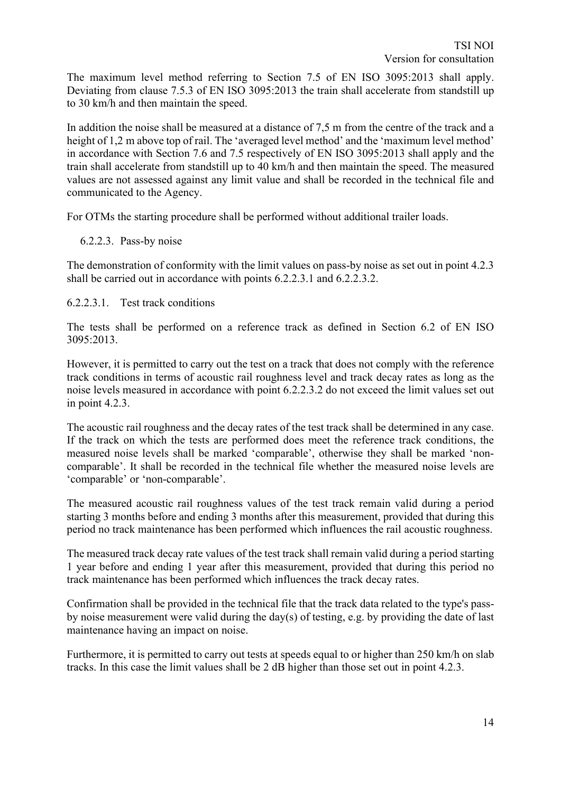The maximum level method referring to Section 7.5 of EN ISO 3095:2013 shall apply. Deviating from clause 7.5.3 of EN ISO 3095:2013 the train shall accelerate from standstill up to 30 km/h and then maintain the speed.

In addition the noise shall be measured at a distance of 7,5 m from the centre of the track and a height of 1,2 m above top of rail. The 'averaged level method' and the 'maximum level method' in accordance with Section 7.6 and 7.5 respectively of EN ISO 3095:2013 shall apply and the train shall accelerate from standstill up to 40 km/h and then maintain the speed. The measured values are not assessed against any limit value and shall be recorded in the technical file and communicated to the Agency.

For OTMs the starting procedure shall be performed without additional trailer loads.

#### 6.2.2.3. Pass-by noise

The demonstration of conformity with the limit values on pass-by noise as set out in point 4.2.3 shall be carried out in accordance with points 6.2.2.3.1 and 6.2.2.3.2.

#### 6.2.2.3.1. Test track conditions

The tests shall be performed on a reference track as defined in Section 6.2 of EN ISO 3095:2013.

However, it is permitted to carry out the test on a track that does not comply with the reference track conditions in terms of acoustic rail roughness level and track decay rates as long as the noise levels measured in accordance with point 6.2.2.3.2 do not exceed the limit values set out in point 4.2.3.

The acoustic rail roughness and the decay rates of the test track shall be determined in any case. If the track on which the tests are performed does meet the reference track conditions, the measured noise levels shall be marked 'comparable', otherwise they shall be marked 'noncomparable'. It shall be recorded in the technical file whether the measured noise levels are 'comparable' or 'non-comparable'.

The measured acoustic rail roughness values of the test track remain valid during a period starting 3 months before and ending 3 months after this measurement, provided that during this period no track maintenance has been performed which influences the rail acoustic roughness.

The measured track decay rate values of the test track shall remain valid during a period starting 1 year before and ending 1 year after this measurement, provided that during this period no track maintenance has been performed which influences the track decay rates.

Confirmation shall be provided in the technical file that the track data related to the type's passby noise measurement were valid during the day(s) of testing, e.g. by providing the date of last maintenance having an impact on noise.

Furthermore, it is permitted to carry out tests at speeds equal to or higher than 250 km/h on slab tracks. In this case the limit values shall be 2 dB higher than those set out in point 4.2.3.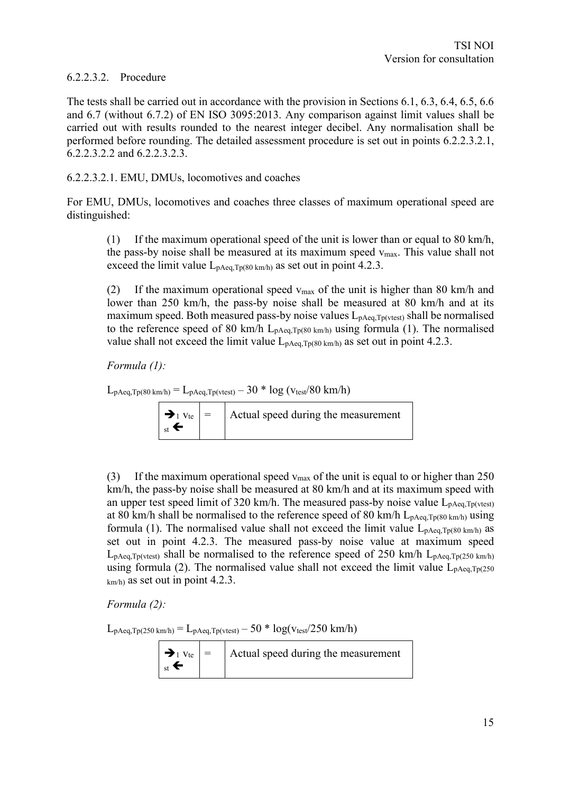#### 6.2.2.3.2. Procedure

The tests shall be carried out in accordance with the provision in Sections 6.1, 6.3, 6.4, 6.5, 6.6 and 6.7 (without 6.7.2) of EN ISO 3095:2013. Any comparison against limit values shall be carried out with results rounded to the nearest integer decibel. Any normalisation shall be performed before rounding. The detailed assessment procedure is set out in points 6.2.2.3.2.1, 6.2.2.3.2.2 and 6.2.2.3.2.3.

#### 6.2.2.3.2.1. EMU, DMUs, locomotives and coaches

For EMU, DMUs, locomotives and coaches three classes of maximum operational speed are distinguished:

(1) If the maximum operational speed of the unit is lower than or equal to 80 km/h, the pass-by noise shall be measured at its maximum speed  $v_{\text{max}}$ . This value shall not exceed the limit value  $L_{pAeq,Tp(80 \text{ km/h})}$  as set out in point 4.2.3.

(2) If the maximum operational speed  $v_{\text{max}}$  of the unit is higher than 80 km/h and lower than 250 km/h, the pass-by noise shall be measured at 80 km/h and at its maximum speed. Both measured pass-by noise values  $L_{p,\text{Aea},\text{To(vtest)}}$  shall be normalised to the reference speed of 80 km/h  $L_{\text{pAea,Tp(80 km/h)}}$  using formula (1). The normalised value shall not exceed the limit value  $L_{pAeq,Tp(80 \text{ km/h})}$  as set out in point 4.2.3.

*Formula (1):*

 $L_{pAeq,Tp(80 \text{ km/h})} = L_{pAeq,Tp(vtest)} - 30 * \log (v_{test}/80 \text{ km/h})$ 

|                               | $ \rightarrow_1 v_{te}  =$ Actual speed during the measurement |
|-------------------------------|----------------------------------------------------------------|
| $\vert_{\rm st}$ $\leftarrow$ |                                                                |

(3) If the maximum operational speed  $v_{\text{max}}$  of the unit is equal to or higher than 250 km/h, the pass-by noise shall be measured at 80 km/h and at its maximum speed with an upper test speed limit of 320 km/h. The measured pass-by noise value  $L_{pAeq,Tp(vtest)}$ at 80 km/h shall be normalised to the reference speed of 80 km/h  $L_{pAeq,Tp(80 \text{ km/h})}$  using formula (1). The normalised value shall not exceed the limit value  $L_{pAeq,Tp(80 \text{ km/h})}$  as set out in point 4.2.3. The measured pass-by noise value at maximum speed  $L_{\text{pAea,Tp(vtest)}}$  shall be normalised to the reference speed of 250 km/h  $L_{\text{pAea,Tp(250 km/h)}}$ using formula (2). The normalised value shall not exceed the limit value  $L_{pAeq,Tp(250)}$ km/h) as set out in point 4.2.3.

*Formula (2):*

 $L_{\text{pAeq},\text{Tp(250 km/h)}} = L_{\text{pAeq},\text{Tp(vtest)}} - 50 * \log(\text{vtest}/250 \text{ km/h})$ 

|                               | $ \rightarrow_1 v_{te}  =$ Actual speed during the measurement |
|-------------------------------|----------------------------------------------------------------|
| $\vert_{\rm st}$ $\leftarrow$ |                                                                |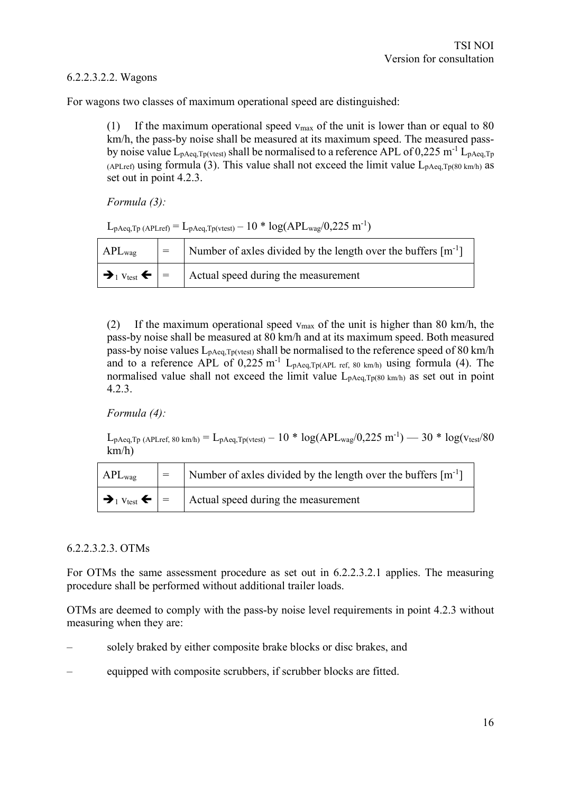#### 6.2.2.3.2.2. Wagons

For wagons two classes of maximum operational speed are distinguished:

(1) If the maximum operational speed  $v_{\text{max}}$  of the unit is lower than or equal to 80 km/h, the pass-by noise shall be measured at its maximum speed. The measured passby noise value  $L_{pAeq,Tp(vtest)}$  shall be normalised to a reference APL of 0,225 m<sup>-1</sup>  $L_{pAeq,Tp}$ (APLref) using formula (3). This value shall not exceed the limit value  $L_{pAeq,Tp(80 \text{ km/h})}$  as set out in point 4.2.3.

*Formula (3):*

 $L_{\text{pAeq},\text{Tp (APLref)}} = L_{\text{pAeq},\text{Tp(vtest)}} - 10 * \log(\text{APL}_{\text{wag}}/0.225 \text{ m}^{-1})$ 

| $APL_{\text{wag}}$                                      | $=$ | Number of axles divided by the length over the buffers $[m^{-1}]$ |
|---------------------------------------------------------|-----|-------------------------------------------------------------------|
| $\rightarrow_1$ $v_{\text{test}}$ $\leftarrow$ $\mid$ = |     | Actual speed during the measurement                               |

(2) If the maximum operational speed  $v_{\text{max}}$  of the unit is higher than 80 km/h, the pass-by noise shall be measured at 80 km/h and at its maximum speed. Both measured pass-by noise values  $L_{pAeq,Tp(vtest)}$  shall be normalised to the reference speed of 80 km/h and to a reference APL of  $0,225$  m<sup>-1</sup> L<sub>pAeq,Tp(APL ref, 80 km/h)</sub> using formula (4). The normalised value shall not exceed the limit value  $L_{pAea,Tp(80 km/h)}$  as set out in point 4.2.3.

*Formula (4):*

 $L_{\text{pAeq},\text{Tp (APLref, 80 km/h)}} = L_{\text{pAeq},\text{Tp(vtest)}} - 10 * \log(\text{APL}_{\text{wag}}/0.225 \text{ m}^{-1}) - 30 * \log(\text{vtest}/80$ km/h)

| $APL_{\text{wag}}$                     | $=$ | Number of axles divided by the length over the buffers $[m^{-1}]$ |
|----------------------------------------|-----|-------------------------------------------------------------------|
| $\rightarrow_1$ Vtest $\leftarrow$   = |     | Actual speed during the measurement                               |

#### 6.2.2.3.2.3. OTMs

For OTMs the same assessment procedure as set out in 6.2.2.3.2.1 applies. The measuring procedure shall be performed without additional trailer loads.

OTMs are deemed to comply with the pass-by noise level requirements in point 4.2.3 without measuring when they are:

- solely braked by either composite brake blocks or disc brakes, and
- equipped with composite scrubbers, if scrubber blocks are fitted.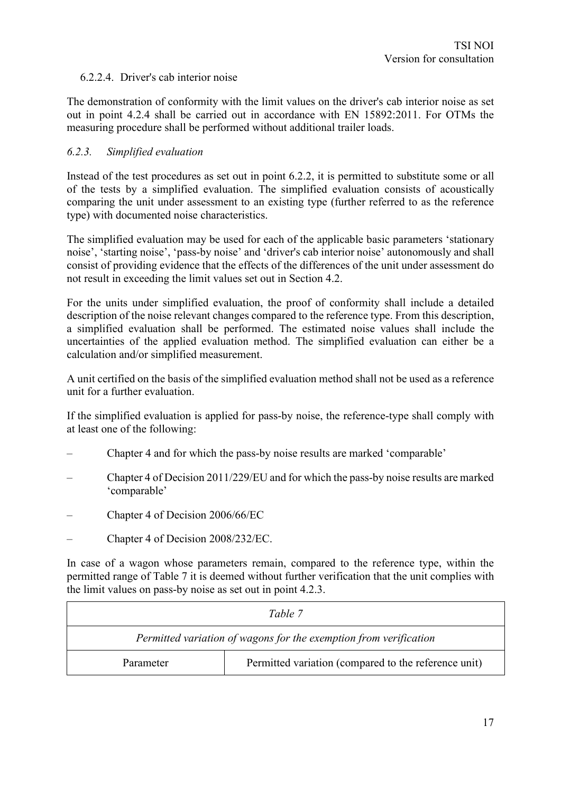#### 6.2.2.4. Driver's cab interior noise

The demonstration of conformity with the limit values on the driver's cab interior noise as set out in point 4.2.4 shall be carried out in accordance with EN 15892:2011. For OTMs the measuring procedure shall be performed without additional trailer loads.

#### *6.2.3. Simplified evaluation*

Instead of the test procedures as set out in point 6.2.2, it is permitted to substitute some or all of the tests by a simplified evaluation. The simplified evaluation consists of acoustically comparing the unit under assessment to an existing type (further referred to as the reference type) with documented noise characteristics.

The simplified evaluation may be used for each of the applicable basic parameters 'stationary noise', 'starting noise', 'pass-by noise' and 'driver's cab interior noise' autonomously and shall consist of providing evidence that the effects of the differences of the unit under assessment do not result in exceeding the limit values set out in Section 4.2.

For the units under simplified evaluation, the proof of conformity shall include a detailed description of the noise relevant changes compared to the reference type. From this description, a simplified evaluation shall be performed. The estimated noise values shall include the uncertainties of the applied evaluation method. The simplified evaluation can either be a calculation and/or simplified measurement.

A unit certified on the basis of the simplified evaluation method shall not be used as a reference unit for a further evaluation.

If the simplified evaluation is applied for pass-by noise, the reference-type shall comply with at least one of the following:

- Chapter 4 and for which the pass-by noise results are marked 'comparable'
- Chapter 4 of Decision 2011/229/EU and for which the pass-by noise results are marked 'comparable'
- Chapter 4 of Decision 2006/66/EC
- Chapter 4 of Decision 2008/232/EC.

In case of a wagon whose parameters remain, compared to the reference type, within the permitted range of Table 7 it is deemed without further verification that the unit complies with the limit values on pass-by noise as set out in point 4.2.3.

| Table 7                                                           |  |  |  |  |
|-------------------------------------------------------------------|--|--|--|--|
| Permitted variation of wagons for the exemption from verification |  |  |  |  |
| Permitted variation (compared to the reference unit)<br>Parameter |  |  |  |  |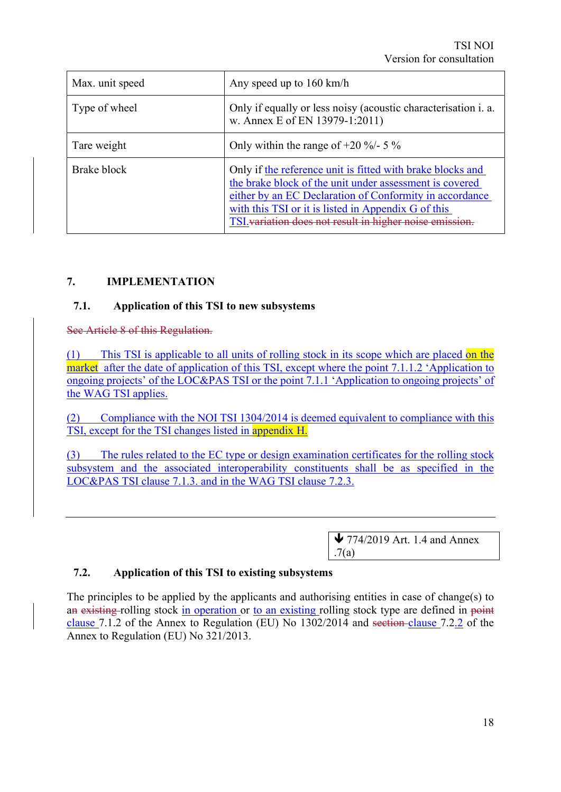| Max. unit speed | Any speed up to $160 \text{ km/h}$                                                                                                                                                                                                                                                                 |
|-----------------|----------------------------------------------------------------------------------------------------------------------------------------------------------------------------------------------------------------------------------------------------------------------------------------------------|
| Type of wheel   | Only if equally or less noisy (acoustic characterisation i. a.<br>w. Annex E of EN 13979-1:2011)                                                                                                                                                                                                   |
| Tare weight     | Only within the range of $+20\%$ /- 5 %                                                                                                                                                                                                                                                            |
| Brake block     | Only if the reference unit is fitted with brake blocks and<br>the brake block of the unit under assessment is covered<br>either by an EC Declaration of Conformity in accordance<br>with this TSI or it is listed in Appendix G of this<br>TSI variation does not result in higher noise emission. |

#### **7. IMPLEMENTATION**

#### **7.1. Application of this TSI to new subsystems**

See Article 8 of this Regulation.

(1) This TSI is applicable to all units of rolling stock in its scope which are placed on the market after the date of application of this TSI, except where the point 7.1.1.2 'Application to ongoing projects' of the LOC&PAS TSI or the point 7.1.1 'Application to ongoing projects' of the WAG TSI applies.

(2) Compliance with the NOI TSI 1304/2014 is deemed equivalent to compliance with this TSI, except for the TSI changes listed in appendix H.

(3) The rules related to the EC type or design examination certificates for the rolling stock subsystem and the associated interoperability constituents shall be as specified in the LOC&PAS TSI clause 7.1.3. and in the WAG TSI clause 7.2.3.

> $\blacktriangleright$  774/2019 Art. 1.4 and Annex .7(a)

#### **7.2. Application of this TSI to existing subsystems**

The principles to be applied by the applicants and authorising entities in case of change(s) to an existing rolling stock in operation or to an existing rolling stock type are defined in point clause 7.1.2 of the Annex to Regulation (EU) No 1302/2014 and section clause 7.2.2 of the Annex to Regulation (EU) No 321/2013.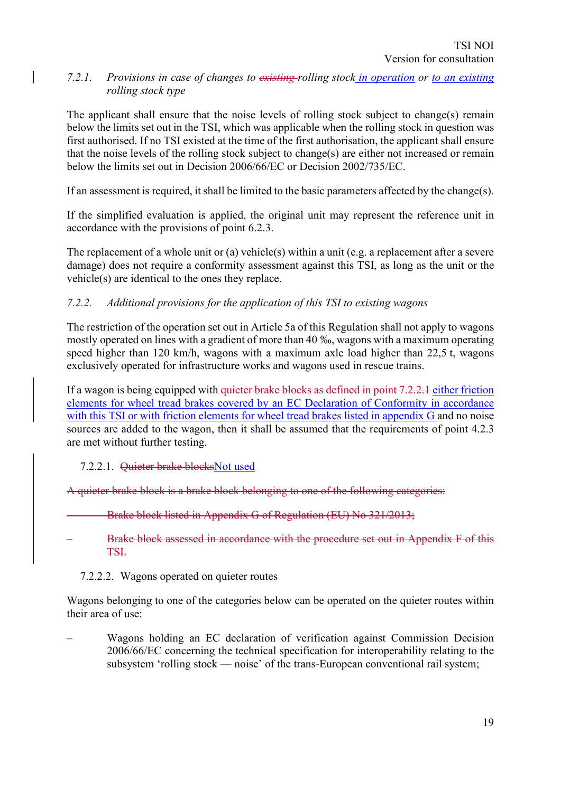#### *7.2.1. Provisions in case of changes to existing rolling stock in operation or to an existing rolling stock type*

The applicant shall ensure that the noise levels of rolling stock subject to change(s) remain below the limits set out in the TSI, which was applicable when the rolling stock in question was first authorised. If no TSI existed at the time of the first authorisation, the applicant shall ensure that the noise levels of the rolling stock subject to change(s) are either not increased or remain below the limits set out in Decision 2006/66/EC or Decision 2002/735/EC.

If an assessment is required, it shall be limited to the basic parameters affected by the change(s).

If the simplified evaluation is applied, the original unit may represent the reference unit in accordance with the provisions of point 6.2.3.

The replacement of a whole unit or (a) vehicle(s) within a unit (e.g. a replacement after a severe damage) does not require a conformity assessment against this TSI, as long as the unit or the vehicle(s) are identical to the ones they replace.

#### *7.2.2. Additional provisions for the application of this TSI to existing wagons*

The restriction of the operation set out in Article 5a of this Regulation shall not apply to wagons mostly operated on lines with a gradient of more than 40 ‰, wagons with a maximum operating speed higher than 120 km/h, wagons with a maximum axle load higher than 22,5 t, wagons exclusively operated for infrastructure works and wagons used in rescue trains.

If a wagon is being equipped with <del>quieter brake blocks as defined in point 7.2.2.1</del> either friction elements for wheel tread brakes covered by an EC Declaration of Conformity in accordance with this TSI or with friction elements for wheel tread brakes listed in appendix G and no noise sources are added to the wagon, then it shall be assumed that the requirements of point 4.2.3 are met without further testing.

#### 7.2.2.1. Quieter brake blocksNot used

A quieter brake block is a brake block belonging to one of the following categories:

– Brake block listed in Appendix G of Regulation (EU) No 321/2013;

– Brake block assessed in accordance with the procedure set out in Appendix F of this TSI.

7.2.2.2. Wagons operated on quieter routes

Wagons belonging to one of the categories below can be operated on the quieter routes within their area of use:

– Wagons holding an EC declaration of verification against Commission Decision 2006/66/EC concerning the technical specification for interoperability relating to the subsystem 'rolling stock — noise' of the trans-European conventional rail system;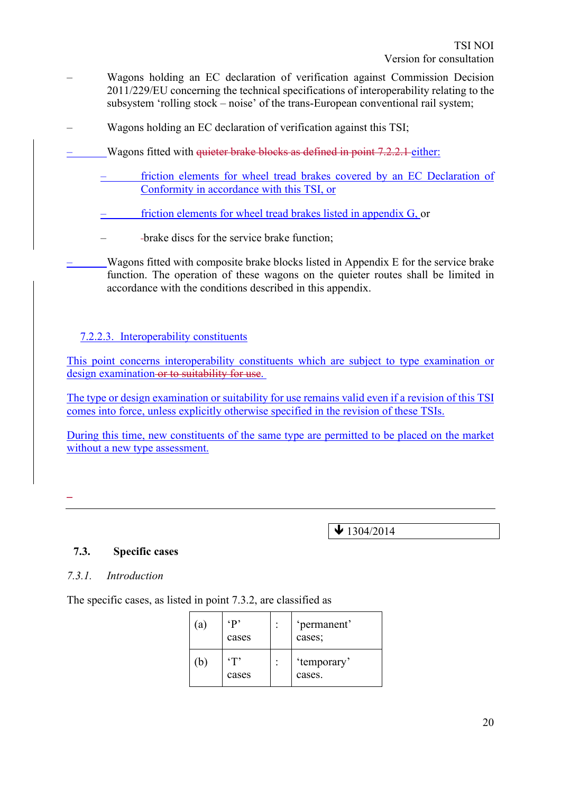- Wagons holding an EC declaration of verification against Commission Decision 2011/229/EU concerning the technical specifications of interoperability relating to the subsystem 'rolling stock – noise' of the trans-European conventional rail system;
- Wagons holding an EC declaration of verification against this TSI;
- Wagons fitted with quieter brake blocks as defined in point 7.2.2.1 either:
	- friction elements for wheel tread brakes covered by an EC Declaration of Conformity in accordance with this TSI, or
	- friction elements for wheel tread brakes listed in appendix G, or
	- brake discs for the service brake function;
	- Wagons fitted with composite brake blocks listed in Appendix E for the service brake function. The operation of these wagons on the quieter routes shall be limited in accordance with the conditions described in this appendix.

#### 7.2.2.3. Interoperability constituents

This point concerns interoperability constituents which are subject to type examination or design examination or to suitability for use.

The type or design examination or suitability for use remains valid even if a revision of this TSI comes into force, unless explicitly otherwise specified in the revision of these TSIs.

During this time, new constituents of the same type are permitted to be placed on the market without a new type assessment.

–

 $\bigvee$  1304/2014

#### **7.3. Specific cases**

#### *7.3.1. Introduction*

The specific cases, as listed in point 7.3.2, are classified as

| a)           | $\cdot$ p<br>cases | 'permanent'<br>cases; |
|--------------|--------------------|-----------------------|
| $\mathsf{b}$ | $\cdot$ T<br>cases | 'temporary'<br>cases. |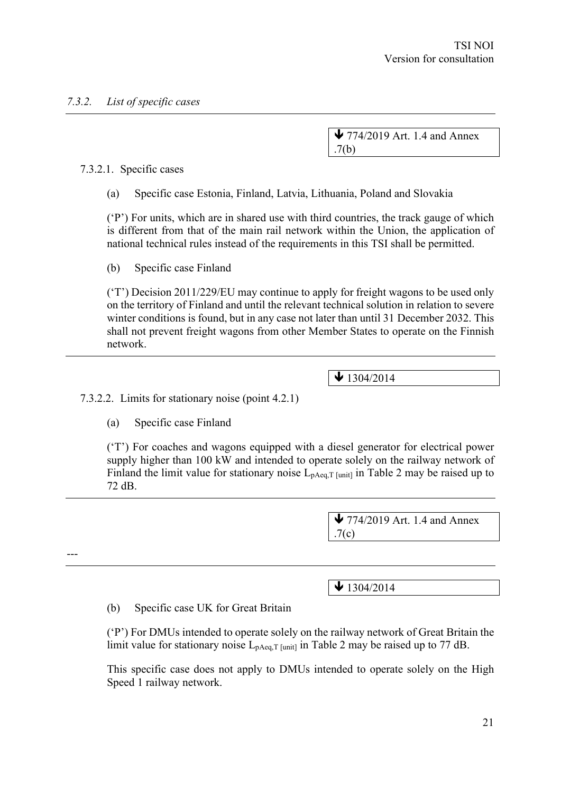$\blacktriangleright$  774/2019 Art. 1.4 and Annex .7(b)

7.3.2.1. Specific cases

(a) Specific case Estonia, Finland, Latvia, Lithuania, Poland and Slovakia

('P') For units, which are in shared use with third countries, the track gauge of which is different from that of the main rail network within the Union, the application of national technical rules instead of the requirements in this TSI shall be permitted.

(b) Specific case Finland

('T') Decision 2011/229/EU may continue to apply for freight wagons to be used only on the territory of Finland and until the relevant technical solution in relation to severe winter conditions is found, but in any case not later than until 31 December 2032. This shall not prevent freight wagons from other Member States to operate on the Finnish network.

 $\blacktriangleright$  1304/2014

7.3.2.2. Limits for stationary noise (point 4.2.1)

(a) Specific case Finland

---

('T') For coaches and wagons equipped with a diesel generator for electrical power supply higher than 100 kW and intended to operate solely on the railway network of Finland the limit value for stationary noise  $L_{pAeq,T}$  [unit] in Table 2 may be raised up to 72 dB.

> $\blacktriangleright$  774/2019 Art. 1.4 and Annex .7(c)

 $\bigvee$  1304/2014

(b) Specific case UK for Great Britain

('P') For DMUs intended to operate solely on the railway network of Great Britain the limit value for stationary noise  $L_{pAeq,T}$  [unit] in Table 2 may be raised up to 77 dB.

This specific case does not apply to DMUs intended to operate solely on the High Speed 1 railway network.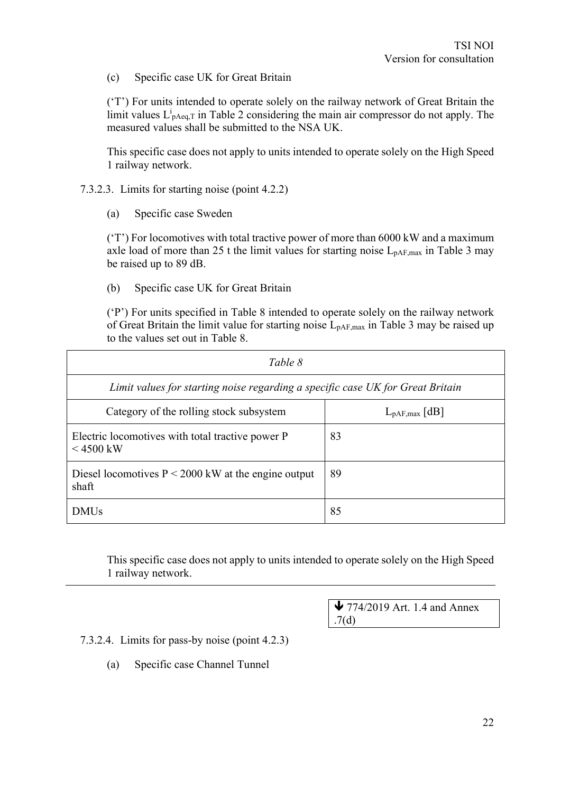(c) Specific case UK for Great Britain

('T') For units intended to operate solely on the railway network of Great Britain the limit values  $L_{\text{pAeq},T}^i$  in Table 2 considering the main air compressor do not apply. The measured values shall be submitted to the NSA UK.

This specific case does not apply to units intended to operate solely on the High Speed 1 railway network.

- 7.3.2.3. Limits for starting noise (point 4.2.2)
	- (a) Specific case Sweden

('T') For locomotives with total tractive power of more than 6000 kW and a maximum axle load of more than 25 t the limit values for starting noise  $L_{pAF,max}$  in Table 3 may be raised up to 89 dB.

(b) Specific case UK for Great Britain

('P') For units specified in Table 8 intended to operate solely on the railway network of Great Britain the limit value for starting noise  $L_{pAF,max}$  in Table 3 may be raised up to the values set out in Table 8.

| Table 8                                                                        |    |  |  |  |  |
|--------------------------------------------------------------------------------|----|--|--|--|--|
| Limit values for starting noise regarding a specific case UK for Great Britain |    |  |  |  |  |
| Category of the rolling stock subsystem<br>$L_{pAF,max}$ [dB]                  |    |  |  |  |  |
| Electric locomotives with total tractive power P<br>$< 4500$ kW                | 83 |  |  |  |  |
| Diesel locomotives $P \le 2000$ kW at the engine output<br>shaft               | 89 |  |  |  |  |
| <b>DMUs</b>                                                                    | 85 |  |  |  |  |

This specific case does not apply to units intended to operate solely on the High Speed 1 railway network.

> $\blacktriangleright$  774/2019 Art. 1.4 and Annex .7(d)

7.3.2.4. Limits for pass-by noise (point 4.2.3)

(a) Specific case Channel Tunnel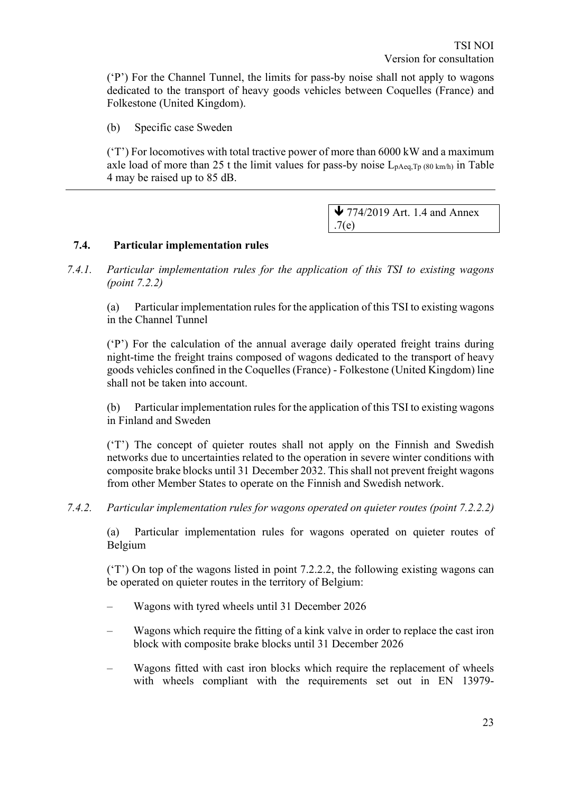('P') For the Channel Tunnel, the limits for pass-by noise shall not apply to wagons dedicated to the transport of heavy goods vehicles between Coquelles (France) and Folkestone (United Kingdom).

(b) Specific case Sweden

('T') For locomotives with total tractive power of more than 6000 kW and a maximum axle load of more than 25 t the limit values for pass-by noise  $L_{\text{pAea,Tp (80 km/h)}}$  in Table 4 may be raised up to 85 dB.

> $\blacktriangleright$  774/2019 Art. 1.4 and Annex .7(e)

#### **7.4. Particular implementation rules**

*7.4.1. Particular implementation rules for the application of this TSI to existing wagons (point 7.2.2)*

(a) Particular implementation rules for the application of this TSI to existing wagons in the Channel Tunnel

('P') For the calculation of the annual average daily operated freight trains during night-time the freight trains composed of wagons dedicated to the transport of heavy goods vehicles confined in the Coquelles (France) - Folkestone (United Kingdom) line shall not be taken into account.

(b) Particular implementation rules for the application of this TSI to existing wagons in Finland and Sweden

('T') The concept of quieter routes shall not apply on the Finnish and Swedish networks due to uncertainties related to the operation in severe winter conditions with composite brake blocks until 31 December 2032. This shall not prevent freight wagons from other Member States to operate on the Finnish and Swedish network.

*7.4.2. Particular implementation rules for wagons operated on quieter routes (point 7.2.2.2)*

(a) Particular implementation rules for wagons operated on quieter routes of Belgium

('T') On top of the wagons listed in point 7.2.2.2, the following existing wagons can be operated on quieter routes in the territory of Belgium:

- Wagons with tyred wheels until 31 December 2026
- Wagons which require the fitting of a kink valve in order to replace the cast iron block with composite brake blocks until 31 December 2026
- Wagons fitted with cast iron blocks which require the replacement of wheels with wheels compliant with the requirements set out in EN 13979-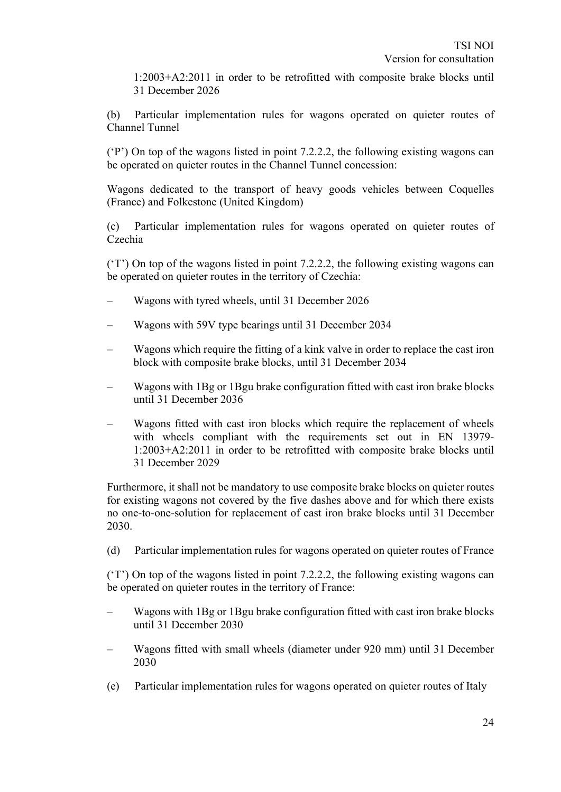1:2003+A2:2011 in order to be retrofitted with composite brake blocks until 31 December 2026

(b) Particular implementation rules for wagons operated on quieter routes of Channel Tunnel

('P') On top of the wagons listed in point 7.2.2.2, the following existing wagons can be operated on quieter routes in the Channel Tunnel concession:

Wagons dedicated to the transport of heavy goods vehicles between Coquelles (France) and Folkestone (United Kingdom)

(c) Particular implementation rules for wagons operated on quieter routes of Czechia

('T') On top of the wagons listed in point 7.2.2.2, the following existing wagons can be operated on quieter routes in the territory of Czechia:

- Wagons with tyred wheels, until 31 December 2026
- Wagons with 59V type bearings until 31 December 2034
- Wagons which require the fitting of a kink valve in order to replace the cast iron block with composite brake blocks, until 31 December 2034
- Wagons with 1Bg or 1Bgu brake configuration fitted with cast iron brake blocks until 31 December 2036
- Wagons fitted with cast iron blocks which require the replacement of wheels with wheels compliant with the requirements set out in EN 13979- 1:2003+A2:2011 in order to be retrofitted with composite brake blocks until 31 December 2029

Furthermore, it shall not be mandatory to use composite brake blocks on quieter routes for existing wagons not covered by the five dashes above and for which there exists no one-to-one-solution for replacement of cast iron brake blocks until 31 December 2030.

(d) Particular implementation rules for wagons operated on quieter routes of France

('T') On top of the wagons listed in point 7.2.2.2, the following existing wagons can be operated on quieter routes in the territory of France:

- Wagons with 1Bg or 1Bgu brake configuration fitted with cast iron brake blocks until 31 December 2030
- Wagons fitted with small wheels (diameter under 920 mm) until 31 December 2030
- (e) Particular implementation rules for wagons operated on quieter routes of Italy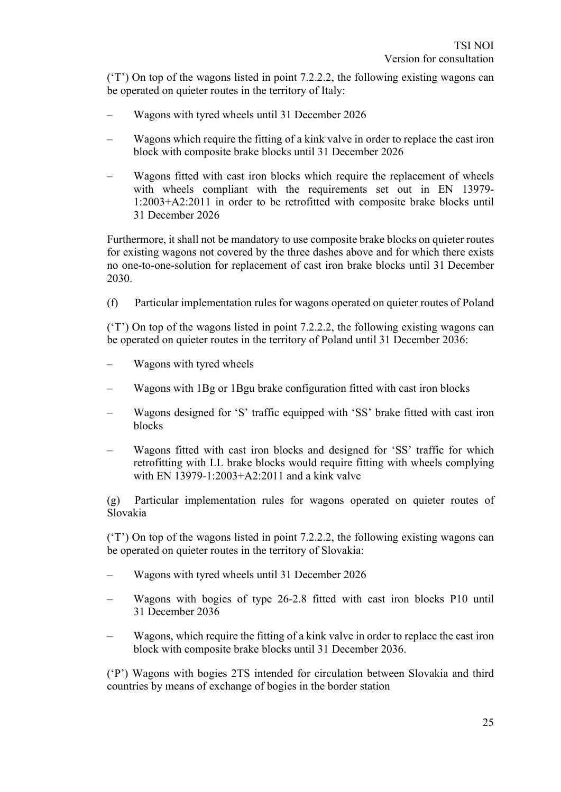('T') On top of the wagons listed in point 7.2.2.2, the following existing wagons can be operated on quieter routes in the territory of Italy:

- Wagons with tyred wheels until 31 December 2026
- Wagons which require the fitting of a kink valve in order to replace the cast iron block with composite brake blocks until 31 December 2026
- Wagons fitted with cast iron blocks which require the replacement of wheels with wheels compliant with the requirements set out in EN 13979- 1:2003+A2:2011 in order to be retrofitted with composite brake blocks until 31 December 2026

Furthermore, it shall not be mandatory to use composite brake blocks on quieter routes for existing wagons not covered by the three dashes above and for which there exists no one-to-one-solution for replacement of cast iron brake blocks until 31 December 2030.

(f) Particular implementation rules for wagons operated on quieter routes of Poland

('T') On top of the wagons listed in point 7.2.2.2, the following existing wagons can be operated on quieter routes in the territory of Poland until 31 December 2036:

- Wagons with tyred wheels
- Wagons with 1Bg or 1Bgu brake configuration fitted with cast iron blocks
- Wagons designed for 'S' traffic equipped with 'SS' brake fitted with cast iron blocks
- Wagons fitted with cast iron blocks and designed for 'SS' traffic for which retrofitting with LL brake blocks would require fitting with wheels complying with EN 13979-1:2003+A2:2011 and a kink valve

(g) Particular implementation rules for wagons operated on quieter routes of Slovakia

('T') On top of the wagons listed in point 7.2.2.2, the following existing wagons can be operated on quieter routes in the territory of Slovakia:

- Wagons with tyred wheels until 31 December 2026
- Wagons with bogies of type 26-2.8 fitted with cast iron blocks P10 until 31 December 2036
- Wagons, which require the fitting of a kink valve in order to replace the cast iron block with composite brake blocks until 31 December 2036.

('P') Wagons with bogies 2TS intended for circulation between Slovakia and third countries by means of exchange of bogies in the border station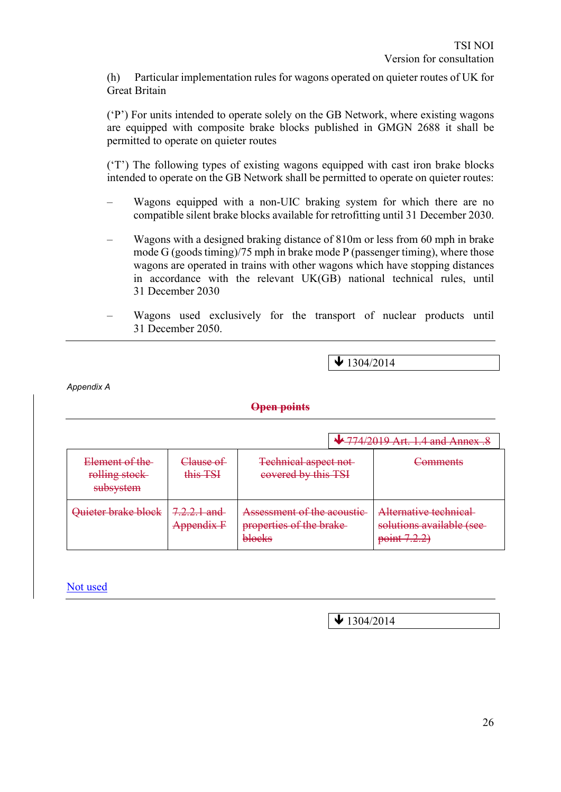(h) Particular implementation rules for wagons operated on quieter routes of UK for Great Britain

('P') For units intended to operate solely on the GB Network, where existing wagons are equipped with composite brake blocks published in GMGN 2688 it shall be permitted to operate on quieter routes

('T') The following types of existing wagons equipped with cast iron brake blocks intended to operate on the GB Network shall be permitted to operate on quieter routes:

- Wagons equipped with a non-UIC braking system for which there are no compatible silent brake blocks available for retrofitting until 31 December 2030.
- Wagons with a designed braking distance of 810m or less from 60 mph in brake mode G (goods timing)/75 mph in brake mode P (passenger timing), where those wagons are operated in trains with other wagons which have stopping distances in accordance with the relevant UK(GB) national technical rules, until 31 December 2030
- Wagons used exclusively for the transport of nuclear products until 31 December 2050.

 $\blacktriangleright$  1304/2014

*Appendix A*

#### **Open points**

|                                                  |                       |                                                                 | <b>↓ 774/2019 Art. 1.4 and Annex.</b>                             |
|--------------------------------------------------|-----------------------|-----------------------------------------------------------------|-------------------------------------------------------------------|
| Element of the<br>rolling stock<br>subsystem     | Clause of<br>this TSI | <b>Technical aspect not-</b><br>covered by this TSI             | Comments                                                          |
| Quieter brake block<br>7.2.2.1 and<br>Appendix F |                       | Assessment of the acoustic<br>properties of the brake<br>blocks | Alternative technical<br>solutions available (see-<br>point 7.2.2 |

Not used

 $\blacktriangleright$  1304/2014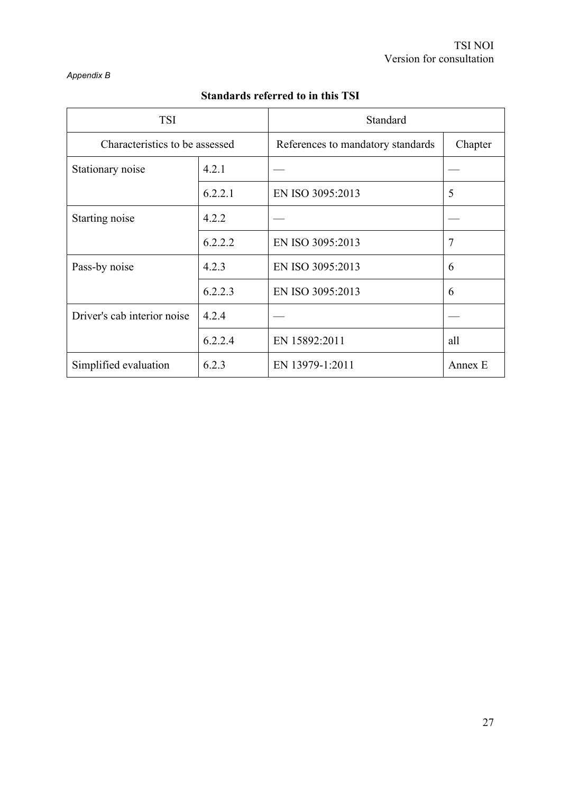#### *Appendix B*

| <b>TSI</b>                     |         | Standard                          |         |  |  |
|--------------------------------|---------|-----------------------------------|---------|--|--|
| Characteristics to be assessed |         | References to mandatory standards | Chapter |  |  |
| Stationary noise               | 4.2.1   |                                   |         |  |  |
|                                | 6.2.2.1 | EN ISO 3095:2013                  | 5       |  |  |
| Starting noise                 | 4.2.2   |                                   |         |  |  |
|                                | 6.2.2.2 | EN ISO 3095:2013                  | 7       |  |  |
| 4.2.3<br>Pass-by noise         |         | EN ISO 3095:2013                  | 6       |  |  |
|                                | 6.2.2.3 | EN ISO 3095:2013                  | 6       |  |  |
| Driver's cab interior noise    | 4.2.4   |                                   |         |  |  |
|                                | 6.2.2.4 | EN 15892:2011                     | all     |  |  |
| Simplified evaluation          | 6.2.3   | EN 13979-1:2011                   | Annex E |  |  |

# **Standards referred to in this TSI**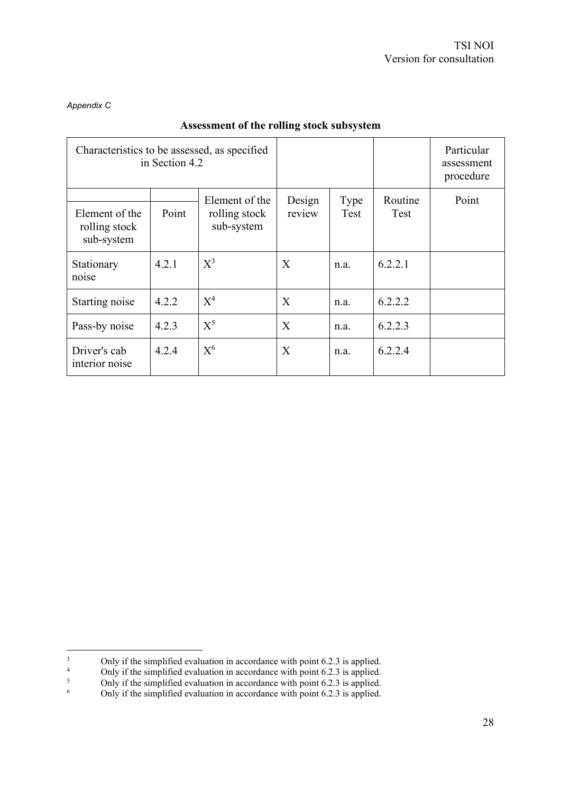#### *Appendix C*

| Characteristics to be assessed, as specified<br>in Section 4.2 |                                                        |                |                  |              |                 | Particular<br>assessment<br>procedure |
|----------------------------------------------------------------|--------------------------------------------------------|----------------|------------------|--------------|-----------------|---------------------------------------|
| Element of the<br>rolling stock<br>sub-system                  | Element of the<br>Point<br>rolling stock<br>sub-system |                | Design<br>review | Type<br>Test | Routine<br>Test | Point                                 |
| Stationary<br>noise                                            | 4.2.1                                                  | $X^3$          | X                | n.a.         | 6.2.2.1         |                                       |
| Starting noise                                                 | 4.2.2                                                  | $X^4$          | X                | n.a.         | 6.2.2.2         |                                       |
| Pass-by noise                                                  | 4.2.3                                                  | $X^5$          | X                | n.a.         | 6.2.2.3         |                                       |
| Driver's cab<br>interior noise                                 | 4.2.4                                                  | $\mathrm{X}^6$ | X                | n.a.         | 6.2.2.4         |                                       |

#### **Assessment of the rolling stock subsystem**

<sup>3</sup> Only if the simplified evaluation in accordance with point 6.2.3 is applied.<br> $\frac{4}{1}$  Only if the simplified evaluation in accordance with point 6.2.3 is applied.

<sup>&</sup>lt;sup>4</sup> Only if the simplified evaluation in accordance with point 6.2.3 is applied.<br><sup>5</sup> Only if the simplified evaluation in accordance with point 6.2.3 is applied.

<sup>&</sup>lt;sup>5</sup> Only if the simplified evaluation in accordance with point 6.2.3 is applied.<br><sup>6</sup> Only if the simplified evaluation in accordance with point 6.2.3 is applied.

Only if the simplified evaluation in accordance with point 6.2.3 is applied.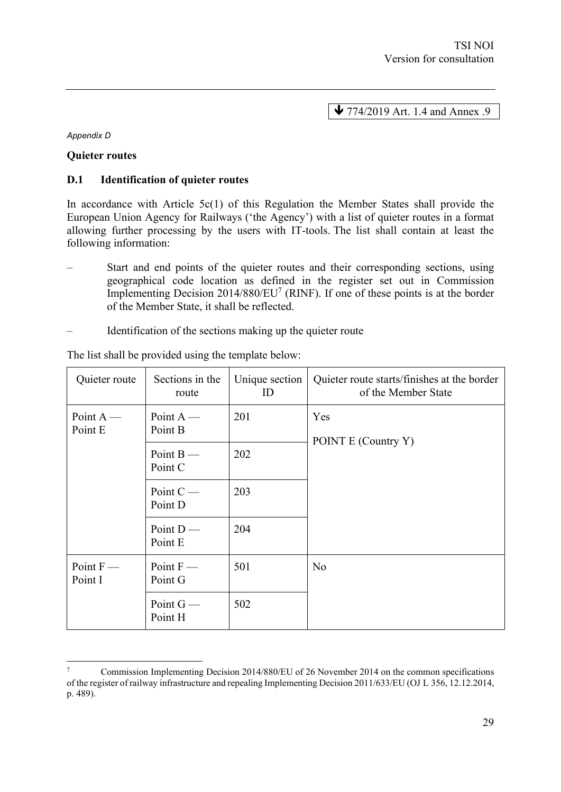$\blacktriangleright$  774/2019 Art. 1.4 and Annex .9

*Appendix D*

#### **Quieter routes**

#### **D.1 Identification of quieter routes**

In accordance with Article  $5c(1)$  of this Regulation the Member States shall provide the European Union Agency for Railways ('the Agency') with a list of quieter routes in a format allowing further processing by the users with IT-tools. The list shall contain at least the following information:

- Start and end points of the quieter routes and their corresponding sections, using geographical code location as defined in the register set out in Commission Implementing Decision 2014/880/EU<sup>7</sup> (RINF). If one of these points is at the border of the Member State, it shall be reflected.
- Identification of the sections making up the quieter route

| Quieter route          | Sections in the<br>route | Unique section<br>ID | Quieter route starts/finishes at the border<br>of the Member State |
|------------------------|--------------------------|----------------------|--------------------------------------------------------------------|
| Point $A$ —<br>Point E | Point $A$ —<br>Point B   | 201                  | Yes<br>POINT E (Country Y)                                         |
|                        | Point $B$ —<br>Point C   | 202                  |                                                                    |
|                        | Point $C$ —<br>Point D   | 203                  |                                                                    |
|                        | Point $D$ —<br>Point E   | 204                  |                                                                    |
| Point $F$ —<br>Point I | Point $F$ —<br>Point G   | 501                  | N <sub>o</sub>                                                     |
|                        | Point $G$ —<br>Point H   | 502                  |                                                                    |

The list shall be provided using the template below:

<sup>7</sup> Commission Implementing Decision 2014/880/EU of 26 November 2014 on the common specifications of the register of railway infrastructure and repealing Implementing Decision 2011/633/EU (OJ L 356, 12.12.2014, p. 489).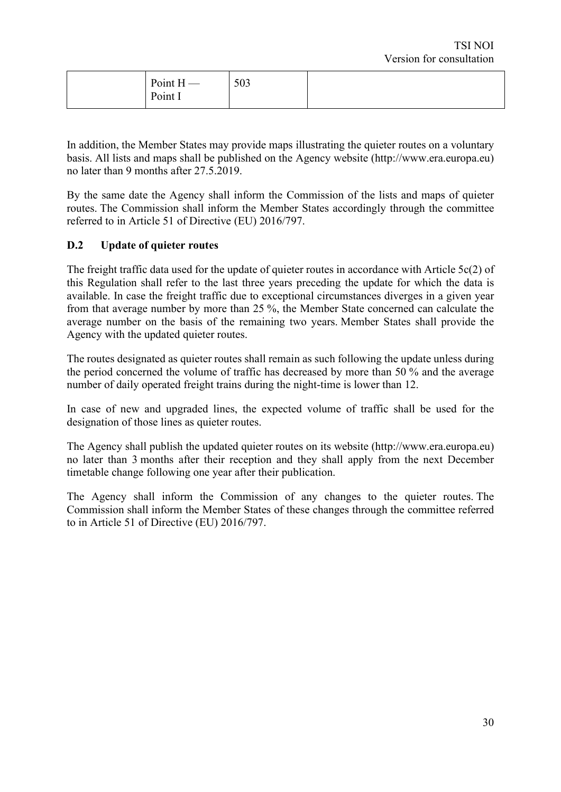| Point $H$ —<br>Point I | 503 |  |
|------------------------|-----|--|
|                        |     |  |

In addition, the Member States may provide maps illustrating the quieter routes on a voluntary basis. All lists and maps shall be published on the Agency website (http://www.era.europa.eu) no later than 9 months after 27.5.2019.

By the same date the Agency shall inform the Commission of the lists and maps of quieter routes. The Commission shall inform the Member States accordingly through the committee referred to in Article 51 of Directive (EU) 2016/797.

#### **D.2 Update of quieter routes**

The freight traffic data used for the update of quieter routes in accordance with Article 5c(2) of this Regulation shall refer to the last three years preceding the update for which the data is available. In case the freight traffic due to exceptional circumstances diverges in a given year from that average number by more than 25 %, the Member State concerned can calculate the average number on the basis of the remaining two years. Member States shall provide the Agency with the updated quieter routes.

The routes designated as quieter routes shall remain as such following the update unless during the period concerned the volume of traffic has decreased by more than 50 % and the average number of daily operated freight trains during the night-time is lower than 12.

In case of new and upgraded lines, the expected volume of traffic shall be used for the designation of those lines as quieter routes.

The Agency shall publish the updated quieter routes on its website (http://www.era.europa.eu) no later than 3 months after their reception and they shall apply from the next December timetable change following one year after their publication.

The Agency shall inform the Commission of any changes to the quieter routes. The Commission shall inform the Member States of these changes through the committee referred to in Article 51 of Directive (EU) 2016/797.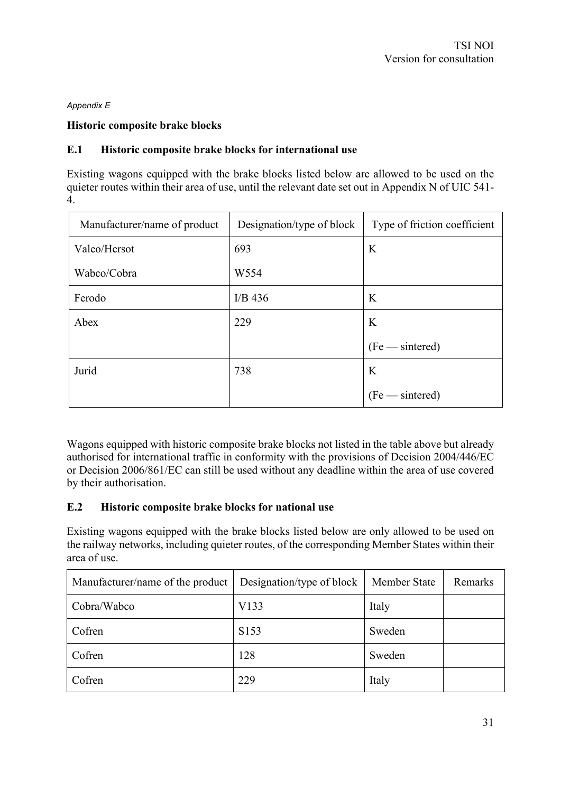#### *Appendix E*

#### **Historic composite brake blocks**

#### **E.1 Historic composite brake blocks for international use**

Existing wagons equipped with the brake blocks listed below are allowed to be used on the quieter routes within their area of use, until the relevant date set out in Appendix N of UIC 541- 4.

| Manufacturer/name of product | Designation/type of block | Type of friction coefficient |
|------------------------------|---------------------------|------------------------------|
| Valeo/Hersot                 | 693                       | K                            |
| Wabco/Cobra                  | W554                      |                              |
| Ferodo                       | I/B $436$                 | K                            |
| Abex                         | 229                       | K                            |
|                              |                           | $(Fe$ -sintered)             |
| Jurid                        | 738                       | K                            |
|                              |                           | (Fe — sintered)              |

Wagons equipped with historic composite brake blocks not listed in the table above but already authorised for international traffic in conformity with the provisions of Decision 2004/446/EC or Decision 2006/861/EC can still be used without any deadline within the area of use covered by their authorisation.

#### **E.2 Historic composite brake blocks for national use**

Existing wagons equipped with the brake blocks listed below are only allowed to be used on the railway networks, including quieter routes, of the corresponding Member States within their area of use.

| Manufacturer/name of the product | Designation/type of block | Member State | Remarks |
|----------------------------------|---------------------------|--------------|---------|
| Cobra/Wabco                      | V133                      | Italy        |         |
| Cofren                           | S <sub>153</sub>          | Sweden       |         |
| Cofren                           | 128                       | Sweden       |         |
| Cofren                           | 229                       | Italy        |         |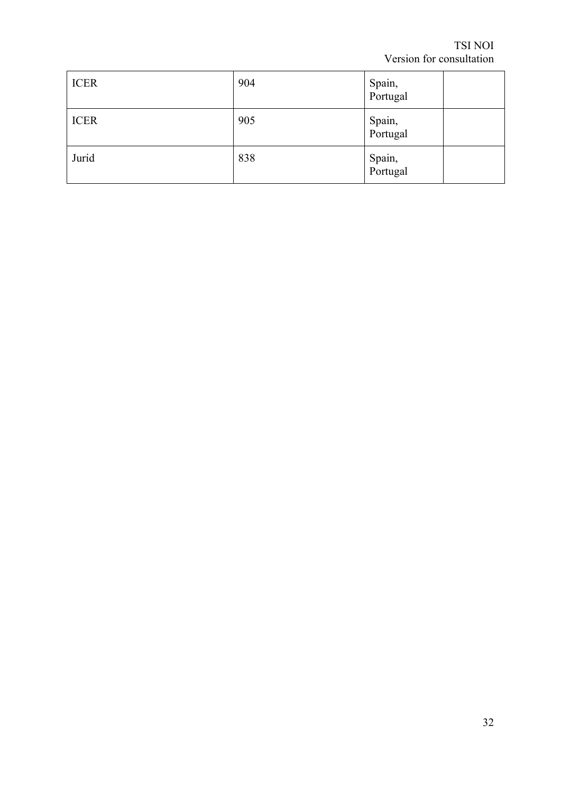| <b>ICER</b> | 904 | Spain,<br>Portugal |
|-------------|-----|--------------------|
| <b>ICER</b> | 905 | Spain,<br>Portugal |
| Jurid       | 838 | Spain,<br>Portugal |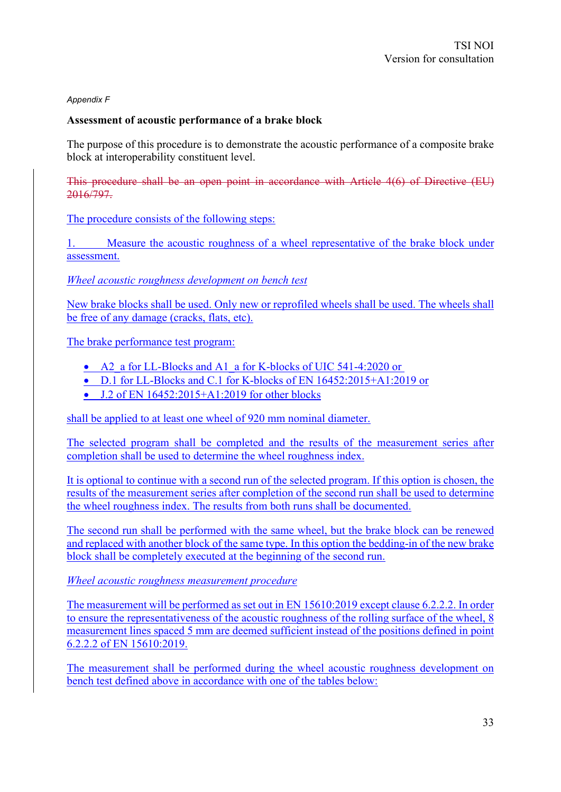#### *Appendix F*

#### **Assessment of acoustic performance of a brake block**

The purpose of this procedure is to demonstrate the acoustic performance of a composite brake block at interoperability constituent level.

This procedure shall be an open point in accordance with Article 4(6) of Directive (EU) 2016/797.

The procedure consists of the following steps:

1. Measure the acoustic roughness of a wheel representative of the brake block under assessment.

*Wheel acoustic roughness development on bench test*

New brake blocks shall be used. Only new or reprofiled wheels shall be used. The wheels shall be free of any damage (cracks, flats, etc).

The brake performance test program:

- A2 a for LL-Blocks and A1 a for K-blocks of UIC 541-4:2020 or
- D.1 for LL-Blocks and C.1 for K-blocks of EN 16452:2015+A1:2019 or
- $\bullet$  J.2 of EN 16452:2015+A1:2019 for other blocks

shall be applied to at least one wheel of 920 mm nominal diameter.

The selected program shall be completed and the results of the measurement series after completion shall be used to determine the wheel roughness index.

It is optional to continue with a second run of the selected program. If this option is chosen, the results of the measurement series after completion of the second run shall be used to determine the wheel roughness index. The results from both runs shall be documented.

The second run shall be performed with the same wheel, but the brake block can be renewed and replaced with another block of the same type. In this option the bedding-in of the new brake block shall be completely executed at the beginning of the second run.

*Wheel acoustic roughness measurement procedure*

The measurement will be performed as set out in EN 15610:2019 except clause 6.2.2.2. In order to ensure the representativeness of the acoustic roughness of the rolling surface of the wheel, 8 measurement lines spaced 5 mm are deemed sufficient instead of the positions defined in point 6.2.2.2 of EN 15610:2019.

The measurement shall be performed during the wheel acoustic roughness development on bench test defined above in accordance with one of the tables below: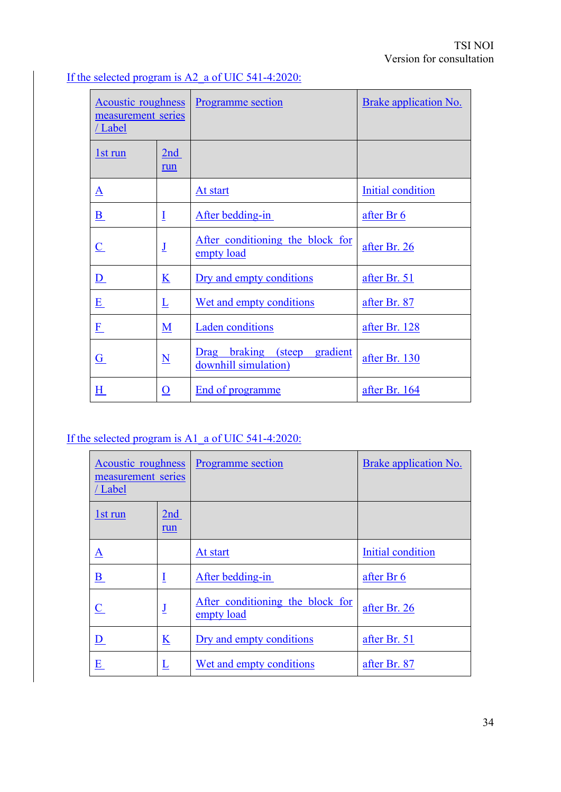| <b>Acoustic roughness</b><br>measurement series<br>/Label |                             | <b>Programme</b> section                                   | Brake application No. |
|-----------------------------------------------------------|-----------------------------|------------------------------------------------------------|-----------------------|
| <u>1st run</u>                                            | 2nd<br>run                  |                                                            |                       |
| ${\bf A}$                                                 |                             | At start                                                   | Initial condition     |
| $\underline{\mathbf{B}}$                                  | $\overline{1}$              | After bedding-in                                           | after Br 6            |
| $\overline{\mathsf{C}}$                                   | $\underline{\mathsf{J}}$    | After conditioning the block for<br>empty load             | after Br. 26          |
| $\underline{\mathbf{D}}$                                  | $\bf K$                     | Dry and empty conditions                                   | after Br. 51          |
| $\underline{\mathbf{E}}$                                  | $\underline{\underline{L}}$ | Wet and empty conditions                                   | after Br. 87          |
| E                                                         | M                           | <b>Laden</b> conditions                                    | after Br. 128         |
| G                                                         | $\underline{\mathbf{N}}$    | braking (steep<br>gradient<br>Drag<br>downhill simulation) | after Br. 130         |
| H                                                         | $\underline{\mathbf{O}}$    | <b>End of programme</b>                                    | after Br. 164         |

## If the selected program is A2 a of UIC 541-4:2020:

## If the selected program is A1 a of UIC 541-4:2020:

| Acoustic roughness<br>measurement series<br>/Label |                          | <b>Programme</b> section                       | Brake application No. |
|----------------------------------------------------|--------------------------|------------------------------------------------|-----------------------|
| 1st run                                            | 2nd<br>run               |                                                |                       |
| $\underline{\mathbf{A}}$                           |                          | At start                                       | Initial condition     |
| $\mathbf{B}$                                       | Ī                        | After bedding-in                               | after Br 6            |
| $\overline{\mathbf{C}}$                            | J                        | After conditioning the block for<br>empty load | after Br. 26          |
| <u>D</u>                                           | $\underline{\mathbf{K}}$ | Dry and empty conditions                       | after Br. 51          |
| $\underline{\mathbf{E}}$                           | $\overline{\Gamma}$      | Wet and empty conditions                       | after Br. 87          |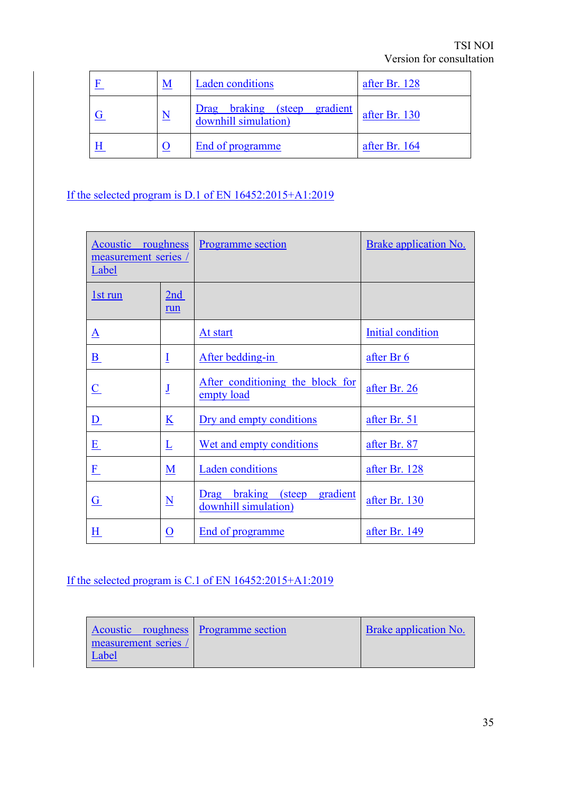| M | <b>Laden</b> conditions                                           | after Br. 128 |
|---|-------------------------------------------------------------------|---------------|
| N | <b>braking</b> (steep<br>gradient<br>Drag<br>downhill simulation) | after Br. 130 |
|   | End of programme                                                  | after Br. 164 |

If the selected program is D.1 of EN 16452:2015+A1:2019

| roughness<br>Acoustic<br>measurement series<br>Label |                          | Programme section                                          | Brake application No. |
|------------------------------------------------------|--------------------------|------------------------------------------------------------|-----------------------|
| <u>1st run</u>                                       | 2nd<br>run               |                                                            |                       |
| A                                                    |                          | At start                                                   | Initial condition     |
| $\underline{\mathbf{B}}$                             | $\overline{1}$           | After bedding-in                                           | after Br 6            |
| $\overline{\mathbf{C}}$                              | $\underline{\mathbf{J}}$ | After conditioning the block for<br>empty load             | after Br. 26          |
| $\underline{\mathbf{D}}$                             | $\underline{\mathbf{K}}$ | Dry and empty conditions                                   | after Br. 51          |
| $\underline{\mathbf{E}}$                             | Ŀ                        | Wet and empty conditions                                   | after Br. 87          |
| E                                                    | $\underline{\mathbf{M}}$ | <b>Laden</b> conditions                                    | after Br. 128         |
| G                                                    | $\underline{\mathbf{N}}$ | braking (steep<br>gradient<br>Drag<br>downhill simulation) | after Br. 130         |
| H                                                    | $\underline{0}$          | End of programme                                           | after Br. 149         |

If the selected program is C.1 of EN 16452:2015+A1:2019

| Acoustic roughness Programme section | <b>Brake application No.</b> |
|--------------------------------------|------------------------------|
| measurement series /                 |                              |
| Label                                |                              |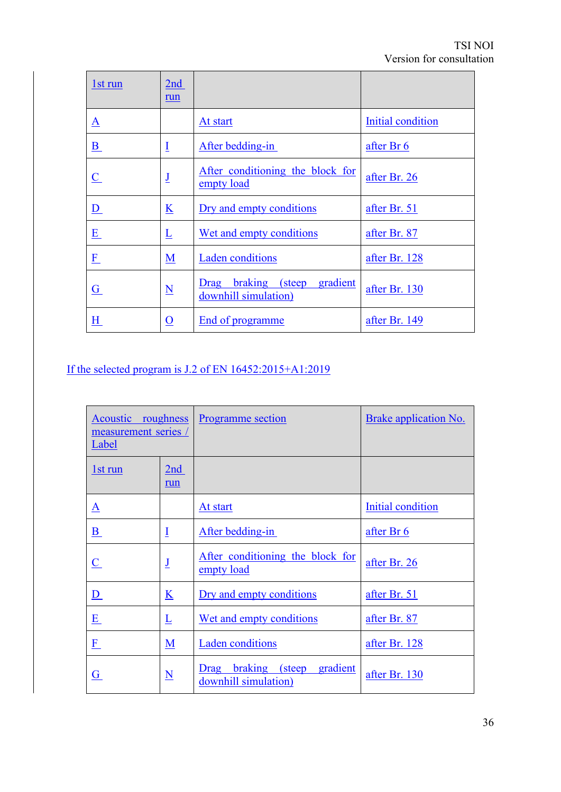| 1st run                  | 2nd<br>run               |                                                            |                   |
|--------------------------|--------------------------|------------------------------------------------------------|-------------------|
| $\underline{A}$          |                          | At start                                                   | Initial condition |
| $\underline{\mathbf{B}}$ | Ī                        | After bedding-in                                           | after Br 6        |
| $\underline{C}$          | $\underline{\mathbf{J}}$ | After conditioning the block for<br>empty load             | after Br. 26      |
| D                        | $\underline{\mathbf{K}}$ | Dry and empty conditions                                   | after Br. 51      |
| E                        | Ī                        | Wet and empty conditions                                   | after Br. 87      |
| $\underline{F}$          | $\underline{\mathbf{M}}$ | <b>Laden</b> conditions                                    | after Br. 128     |
| $\underline{G}$          | $\underline{\mathbf{N}}$ | braking (steep<br>gradient<br>Drag<br>downhill simulation) | after Br. 130     |
| <u>H</u>                 | <u>0</u>                 | End of programme                                           | after Br. 149     |

# If the selected program is J.2 of EN 16452:2015+A1:2019

| Acoustic roughness<br>measurement series /<br>Label |                                      | <b>Programme</b> section                                       | <b>Brake application No.</b> |
|-----------------------------------------------------|--------------------------------------|----------------------------------------------------------------|------------------------------|
| 1st run                                             | 2nd<br>run                           |                                                                |                              |
| ${\bf \underline A}$                                |                                      | At start                                                       | Initial condition            |
| $\underline{\mathbf{B}}$                            | $\overline{1}$                       | After bedding-in                                               | after Br 6                   |
| $\underline{\mathbf{C}}$                            | $\underline{\mathsf{J}}$             | After conditioning the block for<br>empty load                 | after Br. 26                 |
| $\underline{\mathbf{D}}$                            | K                                    | Dry and empty conditions                                       | after Br. 51                 |
| $\underline{\mathbf{E}}$                            | $\underline{\underline{\mathsf{L}}}$ | Wet and empty conditions                                       | after Br. 87                 |
| $\underline{\mathrm{F}}$                            | $\underline{\mathbf{M}}$             | <b>Laden</b> conditions                                        | after Br. 128                |
| $\overline{G}$                                      | $\underline{\mathbf{N}}$             | braking<br>gradient<br>(steep)<br>Drag<br>downhill simulation) | after Br. 130                |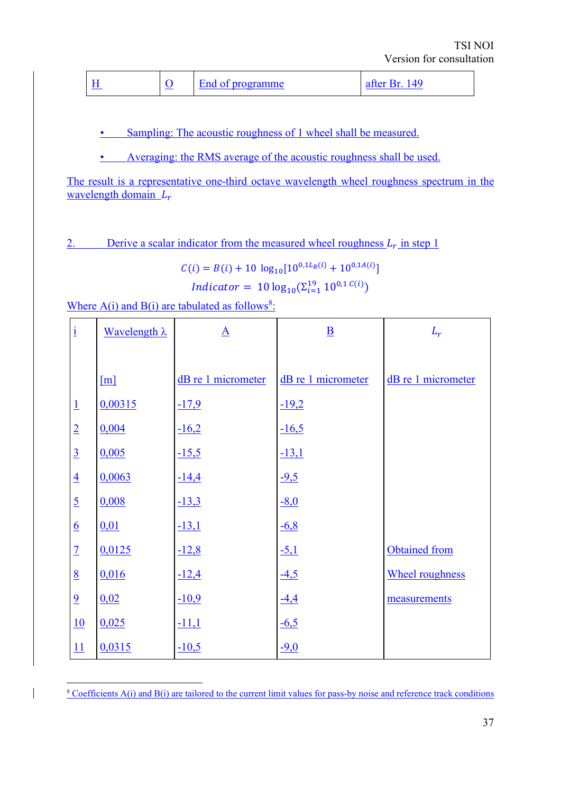|--|

• Sampling: The acoustic roughness of 1 wheel shall be measured.

• Averaging: the RMS average of the acoustic roughness shall be used.

The result is a representative one-third octave wavelength wheel roughness spectrum in the wavelength domain  $L_r$ 

2. Derive a scalar indicator from the measured wheel roughness  $L_r$  in step 1

$$
C(i) = B(i) + 10 \log_{10}[10^{0,1L_R(i)} + 10^{0,1A(i)}]
$$

$$
Indicator = 10 \log_{10}(\Sigma_{i=1}^{19} 10^{0,1} C^{(i)})
$$

Where  $A(i)$  and  $B(i)$  are tabulated as follows<sup>8</sup>:

| $\mathbf{i}$    | Wavelength $\lambda$ | $\underline{\mathbf{A}}$ | $\underline{\mathbf{B}}$ | $L_r$                  |  |
|-----------------|----------------------|--------------------------|--------------------------|------------------------|--|
|                 |                      |                          |                          |                        |  |
|                 | [m]                  | dB re 1 micrometer       | dB re 1 micrometer       | dB re 1 micrometer     |  |
| $\perp$         | 0,00315              | $-17,9$                  | $-19,2$                  |                        |  |
| $\overline{2}$  | 0,004                | $-16,2$                  | $-16,5$                  |                        |  |
| $\overline{3}$  | 0,005                | $-15,5$                  | $-13,1$                  |                        |  |
| $\overline{4}$  | 0,0063               | $-14,4$                  | $-9,5$                   |                        |  |
| $\overline{5}$  | 0,008                | $-13,3$                  | $-8,0$                   |                        |  |
| $\underline{6}$ | 0,01                 | $-13,1$                  | $-6,8$                   |                        |  |
| $\overline{1}$  | 0,0125               | $-12,8$                  | $-5,1$                   | Obtained from          |  |
| 8               | 0,016                | $-12,4$                  | $-4,5$                   | <b>Wheel roughness</b> |  |
| $\overline{9}$  | 0,02                 | $-10,9$                  | $-4,4$                   | measurements           |  |
| 10              | 0,025                | $-11,1$                  | $-6,5$                   |                        |  |
| 11              | 0,0315               | $-10,5$                  | $-9,0$                   |                        |  |

 $8$  Coefficients A(i) and B(i) are tailored to the current limit values for pass-by noise and reference track conditions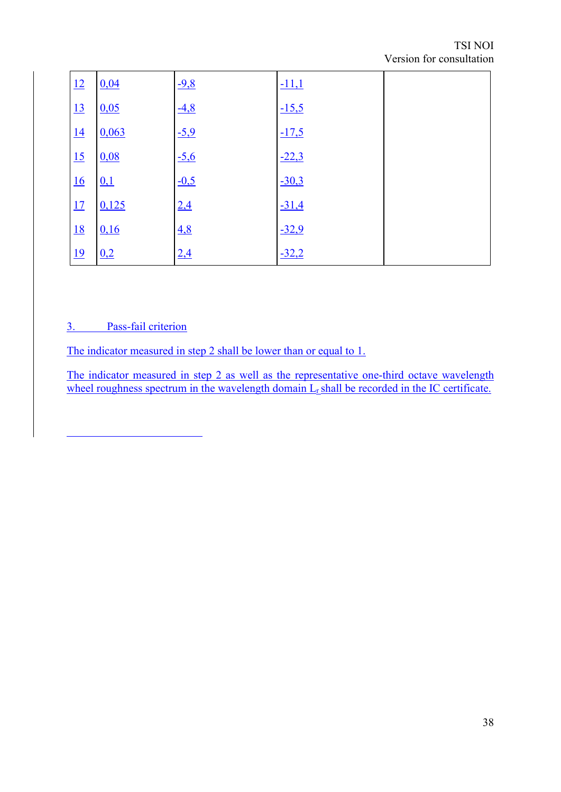| 12        | 0,04  | $-9,8$ | $-11,1$ |  |
|-----------|-------|--------|---------|--|
| 13        | 0,05  | $-4,8$ | $-15,5$ |  |
| 14        | 0,063 | $-5,9$ | $-17,5$ |  |
| 15        | 0.08  | $-5,6$ | $-22,3$ |  |
| 16        | 0,1   | $-0,5$ | $-30,3$ |  |
| 17        | 0,125 | 2,4    | $-31,4$ |  |
| <u>18</u> | 0,16  | 4,8    | $-32,9$ |  |
| <u>19</u> | 0,2   | 2,4    | $-32,2$ |  |

## 3. Pass-fail criterion

The indicator measured in step 2 shall be lower than or equal to 1.

The indicator measured in step 2 as well as the representative one-third octave wavelength wheel roughness spectrum in the wavelength domain  $L_r$  shall be recorded in the IC certificate.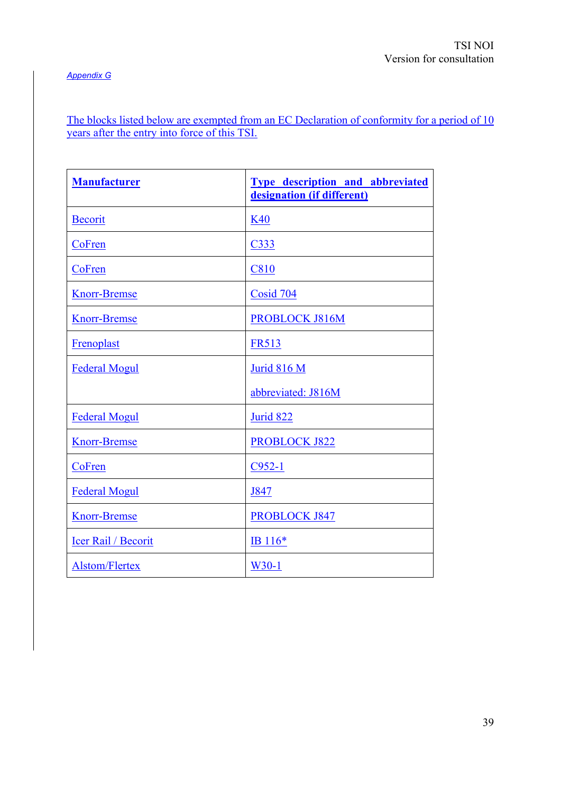#### *Appendix G*

The blocks listed below are exempted from an EC Declaration of conformity for a period of 10 years after the entry into force of this TSI.

| <b>Manufacturer</b>   | <b>Type description and abbreviated</b><br>designation (if different) |
|-----------------------|-----------------------------------------------------------------------|
| <b>Becorit</b>        | K40                                                                   |
| CoFren                | C333                                                                  |
| CoFren                | <b>C810</b>                                                           |
| <b>Knorr-Bremse</b>   | Cosid 704                                                             |
| <b>Knorr-Bremse</b>   | PROBLOCK J816M                                                        |
| Frenoplast            | <b>FR513</b>                                                          |
| <b>Federal Mogul</b>  | Jurid 816 M                                                           |
|                       | abbreviated: J816M                                                    |
| <b>Federal Mogul</b>  | Jurid 822                                                             |
| <b>Knorr-Bremse</b>   | <b>PROBLOCK J822</b>                                                  |
| CoFren                | $C952-1$                                                              |
| <b>Federal Mogul</b>  | J847                                                                  |
| <b>Knorr-Bremse</b>   | <b>PROBLOCK J847</b>                                                  |
| Icer Rail / Becorit   | IB $116*$                                                             |
| <b>Alstom/Flertex</b> | $W30-1$                                                               |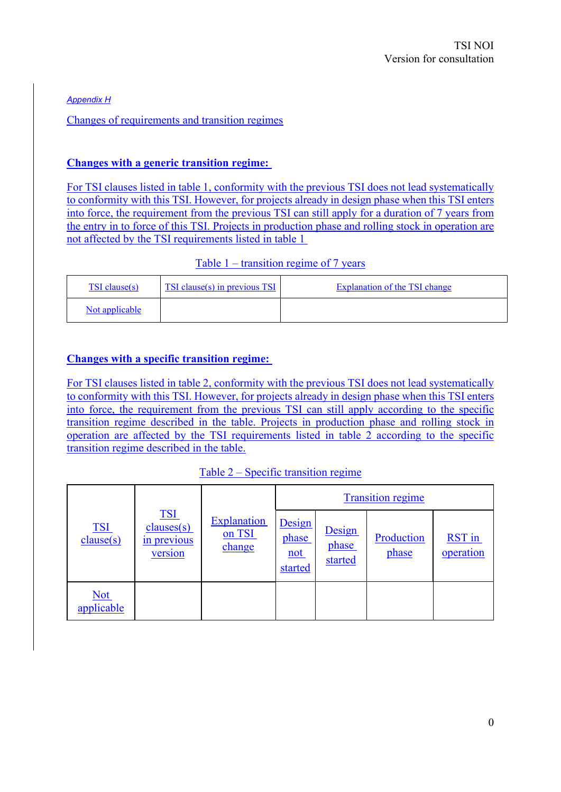*Appendix H*

Changes of requirements and transition regimes

#### **Changes with a generic transition regime:**

For TSI clauses listed in table 1, conformity with the previous TSI does not lead systematically to conformity with this TSI. However, for projects already in design phase when this TSI enters into force, the requirement from the previous TSI can still apply for a duration of 7 years from the entry in to force of this TSI. Projects in production phase and rolling stock in operation are not affected by the TSI requirements listed in table 1

#### Table 1 – transition regime of 7 years

| TSI clause(s)  | TSI clause(s) in previous TSI | Explanation of the TSI change |
|----------------|-------------------------------|-------------------------------|
| Not applicable |                               |                               |

#### **Changes with a specific transition regime:**

For TSI clauses listed in table 2, conformity with the previous TSI does not lead systematically to conformity with this TSI. However, for projects already in design phase when this TSI enters into force, the requirement from the previous TSI can still apply according to the specific transition regime described in the table. Projects in production phase and rolling stock in operation are affected by the TSI requirements listed in table 2 according to the specific transition regime described in the table.

#### Table 2 – Specific transition regime

|                          |                                                    | <b>Explanation</b><br>on TSI<br>change | <b>Transition regime</b>          |                            |                     |                     |
|--------------------------|----------------------------------------------------|----------------------------------------|-----------------------------------|----------------------------|---------------------|---------------------|
| <b>TSI</b><br>clause(s)  | <u>TSI</u><br>clauses(s)<br>in previous<br>version |                                        | Design<br>phase<br>not<br>started | Design<br>phase<br>started | Production<br>phase | RST in<br>operation |
| <u>Not</u><br>applicable |                                                    |                                        |                                   |                            |                     |                     |